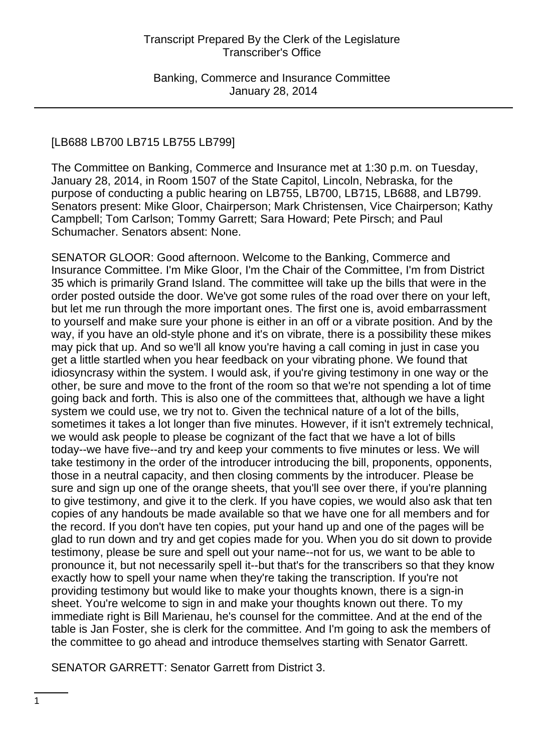### [LB688 LB700 LB715 LB755 LB799]

The Committee on Banking, Commerce and Insurance met at 1:30 p.m. on Tuesday, January 28, 2014, in Room 1507 of the State Capitol, Lincoln, Nebraska, for the purpose of conducting a public hearing on LB755, LB700, LB715, LB688, and LB799. Senators present: Mike Gloor, Chairperson; Mark Christensen, Vice Chairperson; Kathy Campbell; Tom Carlson; Tommy Garrett; Sara Howard; Pete Pirsch; and Paul Schumacher. Senators absent: None.

SENATOR GLOOR: Good afternoon. Welcome to the Banking, Commerce and Insurance Committee. I'm Mike Gloor, I'm the Chair of the Committee, I'm from District 35 which is primarily Grand Island. The committee will take up the bills that were in the order posted outside the door. We've got some rules of the road over there on your left, but let me run through the more important ones. The first one is, avoid embarrassment to yourself and make sure your phone is either in an off or a vibrate position. And by the way, if you have an old-style phone and it's on vibrate, there is a possibility these mikes may pick that up. And so we'll all know you're having a call coming in just in case you get a little startled when you hear feedback on your vibrating phone. We found that idiosyncrasy within the system. I would ask, if you're giving testimony in one way or the other, be sure and move to the front of the room so that we're not spending a lot of time going back and forth. This is also one of the committees that, although we have a light system we could use, we try not to. Given the technical nature of a lot of the bills, sometimes it takes a lot longer than five minutes. However, if it isn't extremely technical, we would ask people to please be cognizant of the fact that we have a lot of bills today--we have five--and try and keep your comments to five minutes or less. We will take testimony in the order of the introducer introducing the bill, proponents, opponents, those in a neutral capacity, and then closing comments by the introducer. Please be sure and sign up one of the orange sheets, that you'll see over there, if you're planning to give testimony, and give it to the clerk. If you have copies, we would also ask that ten copies of any handouts be made available so that we have one for all members and for the record. If you don't have ten copies, put your hand up and one of the pages will be glad to run down and try and get copies made for you. When you do sit down to provide testimony, please be sure and spell out your name--not for us, we want to be able to pronounce it, but not necessarily spell it--but that's for the transcribers so that they know exactly how to spell your name when they're taking the transcription. If you're not providing testimony but would like to make your thoughts known, there is a sign-in sheet. You're welcome to sign in and make your thoughts known out there. To my immediate right is Bill Marienau, he's counsel for the committee. And at the end of the table is Jan Foster, she is clerk for the committee. And I'm going to ask the members of the committee to go ahead and introduce themselves starting with Senator Garrett.

SENATOR GARRETT: Senator Garrett from District 3.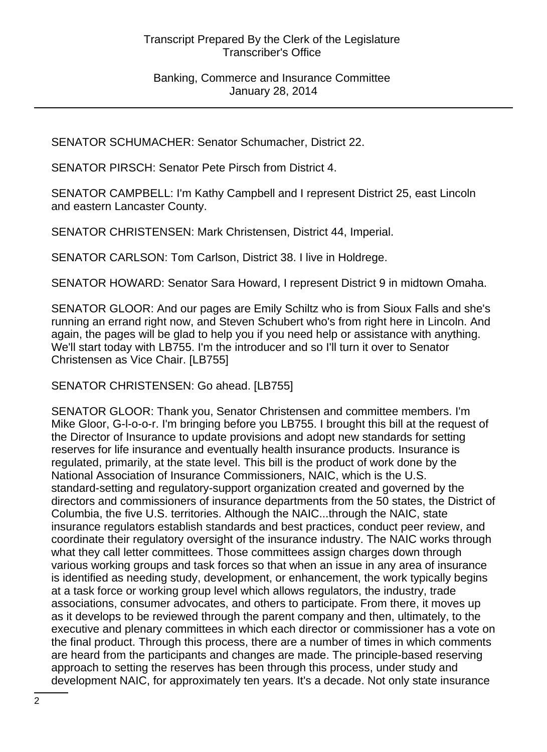SENATOR SCHUMACHER: Senator Schumacher, District 22.

SENATOR PIRSCH: Senator Pete Pirsch from District 4.

SENATOR CAMPBELL: I'm Kathy Campbell and I represent District 25, east Lincoln and eastern Lancaster County.

SENATOR CHRISTENSEN: Mark Christensen, District 44, Imperial.

SENATOR CARLSON: Tom Carlson, District 38. I live in Holdrege.

SENATOR HOWARD: Senator Sara Howard, I represent District 9 in midtown Omaha.

SENATOR GLOOR: And our pages are Emily Schiltz who is from Sioux Falls and she's running an errand right now, and Steven Schubert who's from right here in Lincoln. And again, the pages will be glad to help you if you need help or assistance with anything. We'll start today with LB755. I'm the introducer and so I'll turn it over to Senator Christensen as Vice Chair. [LB755]

SENATOR CHRISTENSEN: Go ahead. [LB755]

SENATOR GLOOR: Thank you, Senator Christensen and committee members. I'm Mike Gloor, G-l-o-o-r. I'm bringing before you LB755. I brought this bill at the request of the Director of Insurance to update provisions and adopt new standards for setting reserves for life insurance and eventually health insurance products. Insurance is regulated, primarily, at the state level. This bill is the product of work done by the National Association of Insurance Commissioners, NAIC, which is the U.S. standard-setting and regulatory-support organization created and governed by the directors and commissioners of insurance departments from the 50 states, the District of Columbia, the five U.S. territories. Although the NAIC...through the NAIC, state insurance regulators establish standards and best practices, conduct peer review, and coordinate their regulatory oversight of the insurance industry. The NAIC works through what they call letter committees. Those committees assign charges down through various working groups and task forces so that when an issue in any area of insurance is identified as needing study, development, or enhancement, the work typically begins at a task force or working group level which allows regulators, the industry, trade associations, consumer advocates, and others to participate. From there, it moves up as it develops to be reviewed through the parent company and then, ultimately, to the executive and plenary committees in which each director or commissioner has a vote on the final product. Through this process, there are a number of times in which comments are heard from the participants and changes are made. The principle-based reserving approach to setting the reserves has been through this process, under study and development NAIC, for approximately ten years. It's a decade. Not only state insurance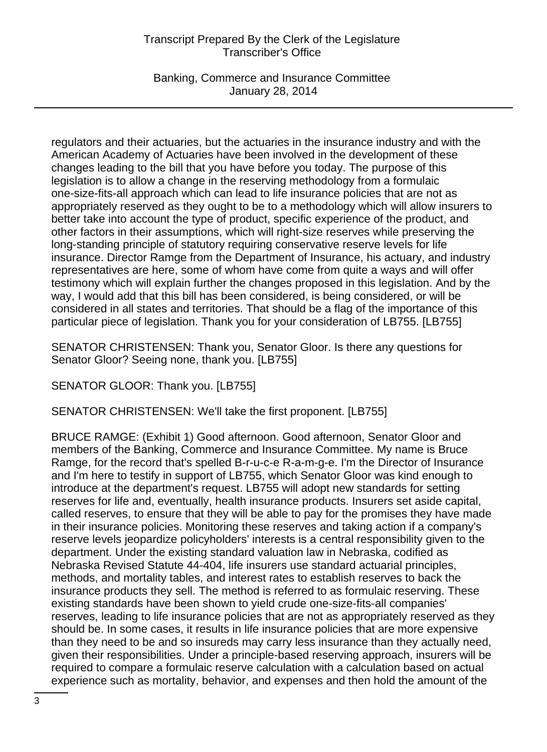Banking, Commerce and Insurance Committee January 28, 2014

regulators and their actuaries, but the actuaries in the insurance industry and with the American Academy of Actuaries have been involved in the development of these changes leading to the bill that you have before you today. The purpose of this legislation is to allow a change in the reserving methodology from a formulaic one-size-fits-all approach which can lead to life insurance policies that are not as appropriately reserved as they ought to be to a methodology which will allow insurers to better take into account the type of product, specific experience of the product, and other factors in their assumptions, which will right-size reserves while preserving the long-standing principle of statutory requiring conservative reserve levels for life insurance. Director Ramge from the Department of Insurance, his actuary, and industry representatives are here, some of whom have come from quite a ways and will offer testimony which will explain further the changes proposed in this legislation. And by the way, I would add that this bill has been considered, is being considered, or will be considered in all states and territories. That should be a flag of the importance of this particular piece of legislation. Thank you for your consideration of LB755. [LB755]

SENATOR CHRISTENSEN: Thank you, Senator Gloor. Is there any questions for Senator Gloor? Seeing none, thank you. [LB755]

SENATOR GLOOR: Thank you. [LB755]

SENATOR CHRISTENSEN: We'll take the first proponent. [LB755]

BRUCE RAMGE: (Exhibit 1) Good afternoon. Good afternoon, Senator Gloor and members of the Banking, Commerce and Insurance Committee. My name is Bruce Ramge, for the record that's spelled B-r-u-c-e R-a-m-g-e. I'm the Director of Insurance and I'm here to testify in support of LB755, which Senator Gloor was kind enough to introduce at the department's request. LB755 will adopt new standards for setting reserves for life and, eventually, health insurance products. Insurers set aside capital, called reserves, to ensure that they will be able to pay for the promises they have made in their insurance policies. Monitoring these reserves and taking action if a company's reserve levels jeopardize policyholders' interests is a central responsibility given to the department. Under the existing standard valuation law in Nebraska, codified as Nebraska Revised Statute 44-404, life insurers use standard actuarial principles, methods, and mortality tables, and interest rates to establish reserves to back the insurance products they sell. The method is referred to as formulaic reserving. These existing standards have been shown to yield crude one-size-fits-all companies' reserves, leading to life insurance policies that are not as appropriately reserved as they should be. In some cases, it results in life insurance policies that are more expensive than they need to be and so insureds may carry less insurance than they actually need, given their responsibilities. Under a principle-based reserving approach, insurers will be required to compare a formulaic reserve calculation with a calculation based on actual experience such as mortality, behavior, and expenses and then hold the amount of the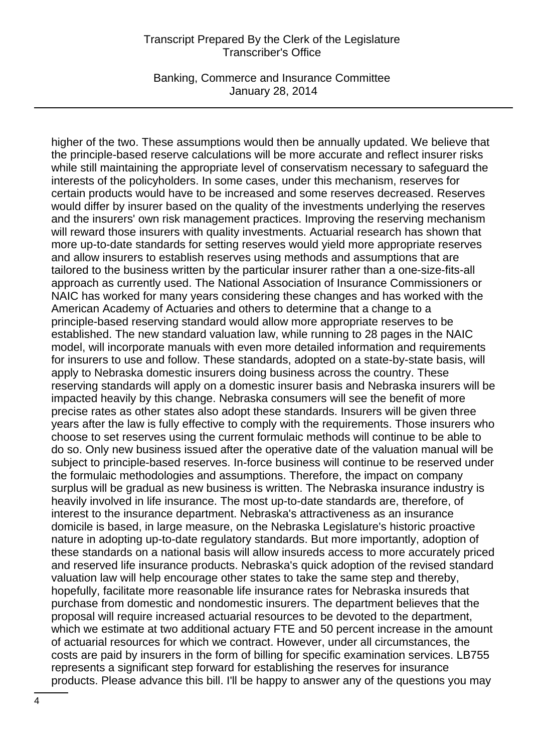Banking, Commerce and Insurance Committee January 28, 2014

higher of the two. These assumptions would then be annually updated. We believe that the principle-based reserve calculations will be more accurate and reflect insurer risks while still maintaining the appropriate level of conservatism necessary to safeguard the interests of the policyholders. In some cases, under this mechanism, reserves for certain products would have to be increased and some reserves decreased. Reserves would differ by insurer based on the quality of the investments underlying the reserves and the insurers' own risk management practices. Improving the reserving mechanism will reward those insurers with quality investments. Actuarial research has shown that more up-to-date standards for setting reserves would yield more appropriate reserves and allow insurers to establish reserves using methods and assumptions that are tailored to the business written by the particular insurer rather than a one-size-fits-all approach as currently used. The National Association of Insurance Commissioners or NAIC has worked for many years considering these changes and has worked with the American Academy of Actuaries and others to determine that a change to a principle-based reserving standard would allow more appropriate reserves to be established. The new standard valuation law, while running to 28 pages in the NAIC model, will incorporate manuals with even more detailed information and requirements for insurers to use and follow. These standards, adopted on a state-by-state basis, will apply to Nebraska domestic insurers doing business across the country. These reserving standards will apply on a domestic insurer basis and Nebraska insurers will be impacted heavily by this change. Nebraska consumers will see the benefit of more precise rates as other states also adopt these standards. Insurers will be given three years after the law is fully effective to comply with the requirements. Those insurers who choose to set reserves using the current formulaic methods will continue to be able to do so. Only new business issued after the operative date of the valuation manual will be subject to principle-based reserves. In-force business will continue to be reserved under the formulaic methodologies and assumptions. Therefore, the impact on company surplus will be gradual as new business is written. The Nebraska insurance industry is heavily involved in life insurance. The most up-to-date standards are, therefore, of interest to the insurance department. Nebraska's attractiveness as an insurance domicile is based, in large measure, on the Nebraska Legislature's historic proactive nature in adopting up-to-date regulatory standards. But more importantly, adoption of these standards on a national basis will allow insureds access to more accurately priced and reserved life insurance products. Nebraska's quick adoption of the revised standard valuation law will help encourage other states to take the same step and thereby, hopefully, facilitate more reasonable life insurance rates for Nebraska insureds that purchase from domestic and nondomestic insurers. The department believes that the proposal will require increased actuarial resources to be devoted to the department, which we estimate at two additional actuary FTE and 50 percent increase in the amount of actuarial resources for which we contract. However, under all circumstances, the costs are paid by insurers in the form of billing for specific examination services. LB755 represents a significant step forward for establishing the reserves for insurance products. Please advance this bill. I'll be happy to answer any of the questions you may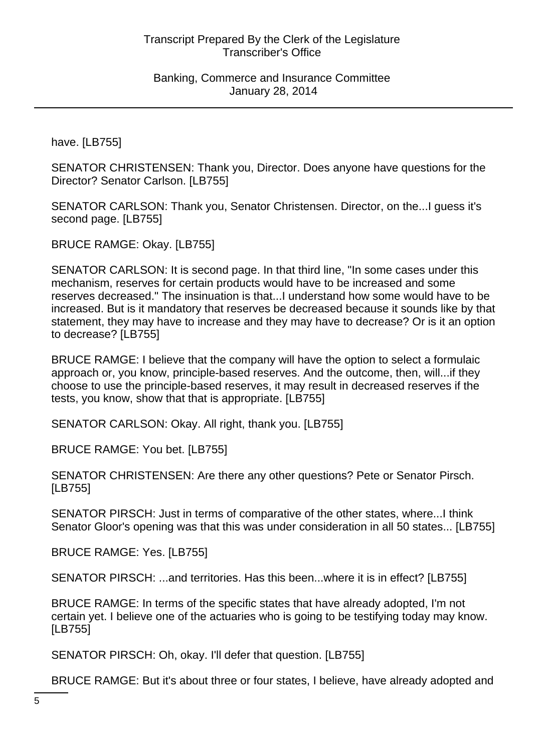have. [LB755]

SENATOR CHRISTENSEN: Thank you, Director. Does anyone have questions for the Director? Senator Carlson. [LB755]

SENATOR CARLSON: Thank you, Senator Christensen. Director, on the...I guess it's second page. [LB755]

BRUCE RAMGE: Okay. [LB755]

SENATOR CARLSON: It is second page. In that third line, "In some cases under this mechanism, reserves for certain products would have to be increased and some reserves decreased." The insinuation is that...I understand how some would have to be increased. But is it mandatory that reserves be decreased because it sounds like by that statement, they may have to increase and they may have to decrease? Or is it an option to decrease? [LB755]

BRUCE RAMGE: I believe that the company will have the option to select a formulaic approach or, you know, principle-based reserves. And the outcome, then, will...if they choose to use the principle-based reserves, it may result in decreased reserves if the tests, you know, show that that is appropriate. [LB755]

SENATOR CARLSON: Okay. All right, thank you. [LB755]

BRUCE RAMGE: You bet. [LB755]

SENATOR CHRISTENSEN: Are there any other questions? Pete or Senator Pirsch. [LB755]

SENATOR PIRSCH: Just in terms of comparative of the other states, where...I think Senator Gloor's opening was that this was under consideration in all 50 states... [LB755]

BRUCE RAMGE: Yes. [LB755]

SENATOR PIRSCH: ...and territories. Has this been...where it is in effect? [LB755]

BRUCE RAMGE: In terms of the specific states that have already adopted, I'm not certain yet. I believe one of the actuaries who is going to be testifying today may know. [LB755]

SENATOR PIRSCH: Oh, okay. I'll defer that question. [LB755]

BRUCE RAMGE: But it's about three or four states, I believe, have already adopted and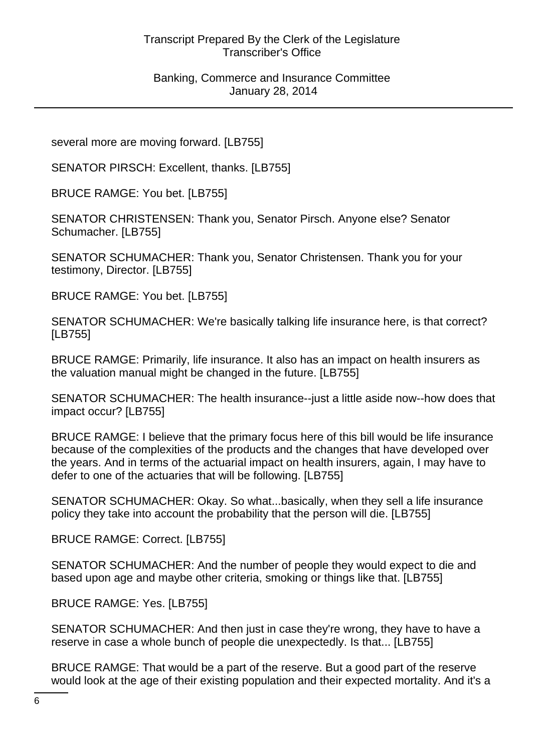several more are moving forward. [LB755]

SENATOR PIRSCH: Excellent, thanks. [LB755]

BRUCE RAMGE: You bet. [LB755]

SENATOR CHRISTENSEN: Thank you, Senator Pirsch. Anyone else? Senator Schumacher. [LB755]

SENATOR SCHUMACHER: Thank you, Senator Christensen. Thank you for your testimony, Director. [LB755]

BRUCE RAMGE: You bet. [LB755]

SENATOR SCHUMACHER: We're basically talking life insurance here, is that correct? [LB755]

BRUCE RAMGE: Primarily, life insurance. It also has an impact on health insurers as the valuation manual might be changed in the future. [LB755]

SENATOR SCHUMACHER: The health insurance--just a little aside now--how does that impact occur? [LB755]

BRUCE RAMGE: I believe that the primary focus here of this bill would be life insurance because of the complexities of the products and the changes that have developed over the years. And in terms of the actuarial impact on health insurers, again, I may have to defer to one of the actuaries that will be following. [LB755]

SENATOR SCHUMACHER: Okay. So what...basically, when they sell a life insurance policy they take into account the probability that the person will die. [LB755]

BRUCE RAMGE: Correct. [LB755]

SENATOR SCHUMACHER: And the number of people they would expect to die and based upon age and maybe other criteria, smoking or things like that. [LB755]

BRUCE RAMGE: Yes. [LB755]

SENATOR SCHUMACHER: And then just in case they're wrong, they have to have a reserve in case a whole bunch of people die unexpectedly. Is that... [LB755]

BRUCE RAMGE: That would be a part of the reserve. But a good part of the reserve would look at the age of their existing population and their expected mortality. And it's a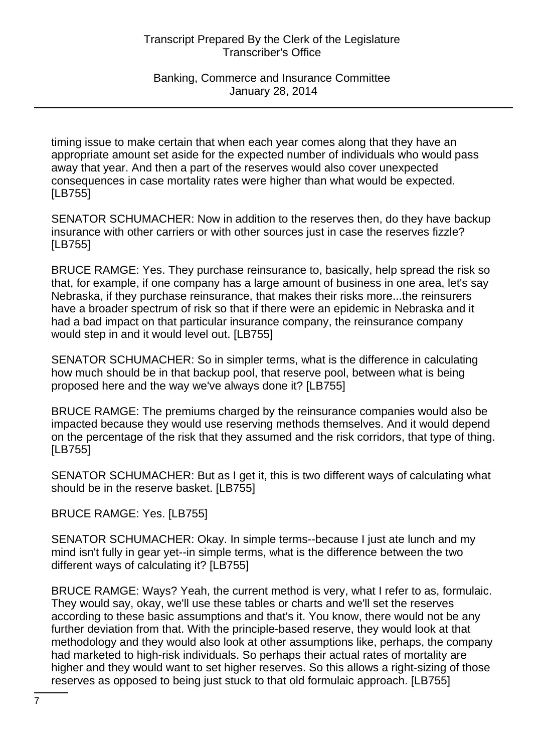timing issue to make certain that when each year comes along that they have an appropriate amount set aside for the expected number of individuals who would pass away that year. And then a part of the reserves would also cover unexpected consequences in case mortality rates were higher than what would be expected. [LB755]

SENATOR SCHUMACHER: Now in addition to the reserves then, do they have backup insurance with other carriers or with other sources just in case the reserves fizzle? [LB755]

BRUCE RAMGE: Yes. They purchase reinsurance to, basically, help spread the risk so that, for example, if one company has a large amount of business in one area, let's say Nebraska, if they purchase reinsurance, that makes their risks more...the reinsurers have a broader spectrum of risk so that if there were an epidemic in Nebraska and it had a bad impact on that particular insurance company, the reinsurance company would step in and it would level out. [LB755]

SENATOR SCHUMACHER: So in simpler terms, what is the difference in calculating how much should be in that backup pool, that reserve pool, between what is being proposed here and the way we've always done it? [LB755]

BRUCE RAMGE: The premiums charged by the reinsurance companies would also be impacted because they would use reserving methods themselves. And it would depend on the percentage of the risk that they assumed and the risk corridors, that type of thing. [LB755]

SENATOR SCHUMACHER: But as I get it, this is two different ways of calculating what should be in the reserve basket. [LB755]

BRUCE RAMGE: Yes. [LB755]

SENATOR SCHUMACHER: Okay. In simple terms--because I just ate lunch and my mind isn't fully in gear yet--in simple terms, what is the difference between the two different ways of calculating it? [LB755]

BRUCE RAMGE: Ways? Yeah, the current method is very, what I refer to as, formulaic. They would say, okay, we'll use these tables or charts and we'll set the reserves according to these basic assumptions and that's it. You know, there would not be any further deviation from that. With the principle-based reserve, they would look at that methodology and they would also look at other assumptions like, perhaps, the company had marketed to high-risk individuals. So perhaps their actual rates of mortality are higher and they would want to set higher reserves. So this allows a right-sizing of those reserves as opposed to being just stuck to that old formulaic approach. [LB755]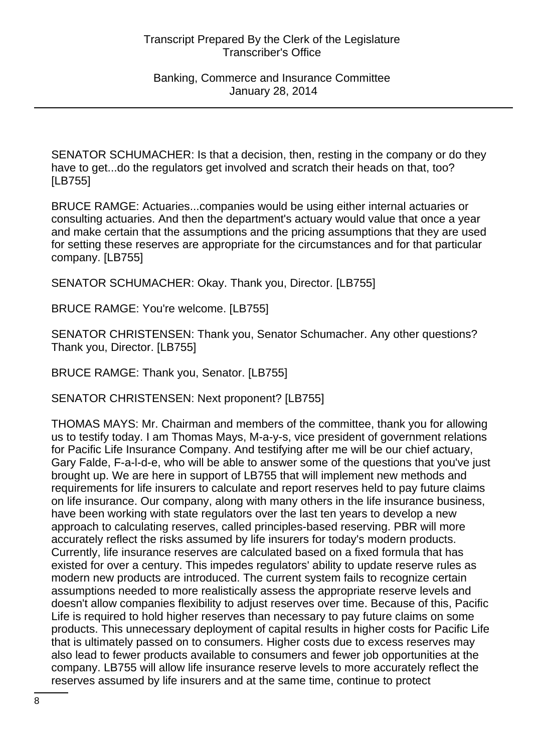SENATOR SCHUMACHER: Is that a decision, then, resting in the company or do they have to get...do the regulators get involved and scratch their heads on that, too? [LB755]

BRUCE RAMGE: Actuaries...companies would be using either internal actuaries or consulting actuaries. And then the department's actuary would value that once a year and make certain that the assumptions and the pricing assumptions that they are used for setting these reserves are appropriate for the circumstances and for that particular company. [LB755]

SENATOR SCHUMACHER: Okay. Thank you, Director. [LB755]

BRUCE RAMGE: You're welcome. [LB755]

SENATOR CHRISTENSEN: Thank you, Senator Schumacher. Any other questions? Thank you, Director. [LB755]

BRUCE RAMGE: Thank you, Senator. [LB755]

SENATOR CHRISTENSEN: Next proponent? [LB755]

THOMAS MAYS: Mr. Chairman and members of the committee, thank you for allowing us to testify today. I am Thomas Mays, M-a-y-s, vice president of government relations for Pacific Life Insurance Company. And testifying after me will be our chief actuary, Gary Falde, F-a-l-d-e, who will be able to answer some of the questions that you've just brought up. We are here in support of LB755 that will implement new methods and requirements for life insurers to calculate and report reserves held to pay future claims on life insurance. Our company, along with many others in the life insurance business, have been working with state regulators over the last ten years to develop a new approach to calculating reserves, called principles-based reserving. PBR will more accurately reflect the risks assumed by life insurers for today's modern products. Currently, life insurance reserves are calculated based on a fixed formula that has existed for over a century. This impedes regulators' ability to update reserve rules as modern new products are introduced. The current system fails to recognize certain assumptions needed to more realistically assess the appropriate reserve levels and doesn't allow companies flexibility to adjust reserves over time. Because of this, Pacific Life is required to hold higher reserves than necessary to pay future claims on some products. This unnecessary deployment of capital results in higher costs for Pacific Life that is ultimately passed on to consumers. Higher costs due to excess reserves may also lead to fewer products available to consumers and fewer job opportunities at the company. LB755 will allow life insurance reserve levels to more accurately reflect the reserves assumed by life insurers and at the same time, continue to protect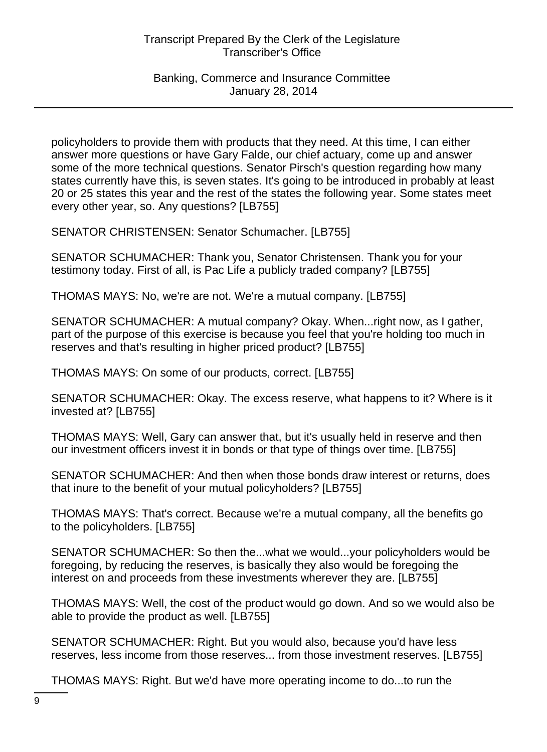policyholders to provide them with products that they need. At this time, I can either answer more questions or have Gary Falde, our chief actuary, come up and answer some of the more technical questions. Senator Pirsch's question regarding how many states currently have this, is seven states. It's going to be introduced in probably at least 20 or 25 states this year and the rest of the states the following year. Some states meet every other year, so. Any questions? [LB755]

SENATOR CHRISTENSEN: Senator Schumacher. [LB755]

SENATOR SCHUMACHER: Thank you, Senator Christensen. Thank you for your testimony today. First of all, is Pac Life a publicly traded company? [LB755]

THOMAS MAYS: No, we're are not. We're a mutual company. [LB755]

SENATOR SCHUMACHER: A mutual company? Okay. When...right now, as I gather, part of the purpose of this exercise is because you feel that you're holding too much in reserves and that's resulting in higher priced product? [LB755]

THOMAS MAYS: On some of our products, correct. [LB755]

SENATOR SCHUMACHER: Okay. The excess reserve, what happens to it? Where is it invested at? [LB755]

THOMAS MAYS: Well, Gary can answer that, but it's usually held in reserve and then our investment officers invest it in bonds or that type of things over time. [LB755]

SENATOR SCHUMACHER: And then when those bonds draw interest or returns, does that inure to the benefit of your mutual policyholders? [LB755]

THOMAS MAYS: That's correct. Because we're a mutual company, all the benefits go to the policyholders. [LB755]

SENATOR SCHUMACHER: So then the...what we would...your policyholders would be foregoing, by reducing the reserves, is basically they also would be foregoing the interest on and proceeds from these investments wherever they are. [LB755]

THOMAS MAYS: Well, the cost of the product would go down. And so we would also be able to provide the product as well. [LB755]

SENATOR SCHUMACHER: Right. But you would also, because you'd have less reserves, less income from those reserves... from those investment reserves. [LB755]

THOMAS MAYS: Right. But we'd have more operating income to do...to run the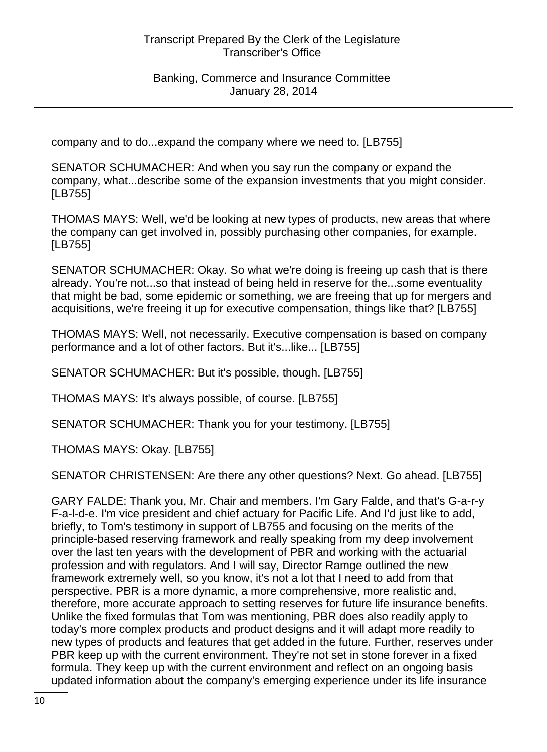company and to do...expand the company where we need to. [LB755]

SENATOR SCHUMACHER: And when you say run the company or expand the company, what...describe some of the expansion investments that you might consider. [LB755]

THOMAS MAYS: Well, we'd be looking at new types of products, new areas that where the company can get involved in, possibly purchasing other companies, for example. [LB755]

SENATOR SCHUMACHER: Okay. So what we're doing is freeing up cash that is there already. You're not...so that instead of being held in reserve for the...some eventuality that might be bad, some epidemic or something, we are freeing that up for mergers and acquisitions, we're freeing it up for executive compensation, things like that? [LB755]

THOMAS MAYS: Well, not necessarily. Executive compensation is based on company performance and a lot of other factors. But it's...like... [LB755]

SENATOR SCHUMACHER: But it's possible, though. [LB755]

THOMAS MAYS: It's always possible, of course. [LB755]

SENATOR SCHUMACHER: Thank you for your testimony. [LB755]

THOMAS MAYS: Okay. [LB755]

SENATOR CHRISTENSEN: Are there any other questions? Next. Go ahead. [LB755]

GARY FALDE: Thank you, Mr. Chair and members. I'm Gary Falde, and that's G-a-r-y F-a-l-d-e. I'm vice president and chief actuary for Pacific Life. And I'd just like to add, briefly, to Tom's testimony in support of LB755 and focusing on the merits of the principle-based reserving framework and really speaking from my deep involvement over the last ten years with the development of PBR and working with the actuarial profession and with regulators. And I will say, Director Ramge outlined the new framework extremely well, so you know, it's not a lot that I need to add from that perspective. PBR is a more dynamic, a more comprehensive, more realistic and, therefore, more accurate approach to setting reserves for future life insurance benefits. Unlike the fixed formulas that Tom was mentioning, PBR does also readily apply to today's more complex products and product designs and it will adapt more readily to new types of products and features that get added in the future. Further, reserves under PBR keep up with the current environment. They're not set in stone forever in a fixed formula. They keep up with the current environment and reflect on an ongoing basis updated information about the company's emerging experience under its life insurance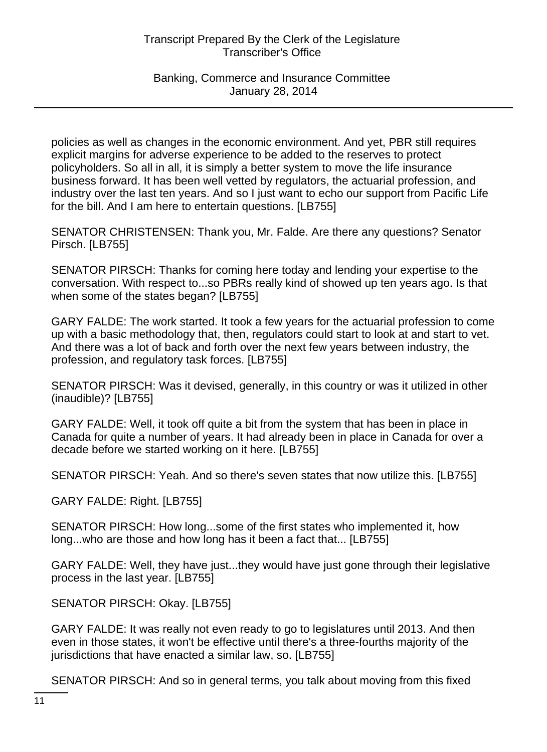Banking, Commerce and Insurance Committee January 28, 2014

policies as well as changes in the economic environment. And yet, PBR still requires explicit margins for adverse experience to be added to the reserves to protect policyholders. So all in all, it is simply a better system to move the life insurance business forward. It has been well vetted by regulators, the actuarial profession, and industry over the last ten years. And so I just want to echo our support from Pacific Life for the bill. And I am here to entertain questions. [LB755]

SENATOR CHRISTENSEN: Thank you, Mr. Falde. Are there any questions? Senator Pirsch. [LB755]

SENATOR PIRSCH: Thanks for coming here today and lending your expertise to the conversation. With respect to...so PBRs really kind of showed up ten years ago. Is that when some of the states began? [LB755]

GARY FALDE: The work started. It took a few years for the actuarial profession to come up with a basic methodology that, then, regulators could start to look at and start to vet. And there was a lot of back and forth over the next few years between industry, the profession, and regulatory task forces. [LB755]

SENATOR PIRSCH: Was it devised, generally, in this country or was it utilized in other (inaudible)? [LB755]

GARY FALDE: Well, it took off quite a bit from the system that has been in place in Canada for quite a number of years. It had already been in place in Canada for over a decade before we started working on it here. [LB755]

SENATOR PIRSCH: Yeah. And so there's seven states that now utilize this. [LB755]

GARY FALDE: Right. [LB755]

SENATOR PIRSCH: How long...some of the first states who implemented it, how long...who are those and how long has it been a fact that... [LB755]

GARY FALDE: Well, they have just...they would have just gone through their legislative process in the last year. [LB755]

SENATOR PIRSCH: Okay. [LB755]

GARY FALDE: It was really not even ready to go to legislatures until 2013. And then even in those states, it won't be effective until there's a three-fourths majority of the jurisdictions that have enacted a similar law, so. [LB755]

SENATOR PIRSCH: And so in general terms, you talk about moving from this fixed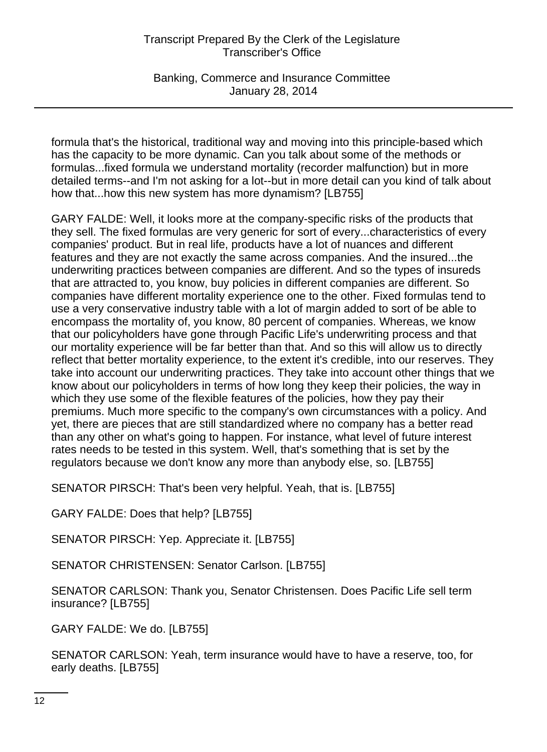Banking, Commerce and Insurance Committee January 28, 2014

formula that's the historical, traditional way and moving into this principle-based which has the capacity to be more dynamic. Can you talk about some of the methods or formulas...fixed formula we understand mortality (recorder malfunction) but in more detailed terms--and I'm not asking for a lot--but in more detail can you kind of talk about how that...how this new system has more dynamism? [LB755]

GARY FALDE: Well, it looks more at the company-specific risks of the products that they sell. The fixed formulas are very generic for sort of every...characteristics of every companies' product. But in real life, products have a lot of nuances and different features and they are not exactly the same across companies. And the insured...the underwriting practices between companies are different. And so the types of insureds that are attracted to, you know, buy policies in different companies are different. So companies have different mortality experience one to the other. Fixed formulas tend to use a very conservative industry table with a lot of margin added to sort of be able to encompass the mortality of, you know, 80 percent of companies. Whereas, we know that our policyholders have gone through Pacific Life's underwriting process and that our mortality experience will be far better than that. And so this will allow us to directly reflect that better mortality experience, to the extent it's credible, into our reserves. They take into account our underwriting practices. They take into account other things that we know about our policyholders in terms of how long they keep their policies, the way in which they use some of the flexible features of the policies, how they pay their premiums. Much more specific to the company's own circumstances with a policy. And yet, there are pieces that are still standardized where no company has a better read than any other on what's going to happen. For instance, what level of future interest rates needs to be tested in this system. Well, that's something that is set by the regulators because we don't know any more than anybody else, so. [LB755]

SENATOR PIRSCH: That's been very helpful. Yeah, that is. [LB755]

GARY FALDE: Does that help? [LB755]

SENATOR PIRSCH: Yep. Appreciate it. [LB755]

SENATOR CHRISTENSEN: Senator Carlson. [LB755]

SENATOR CARLSON: Thank you, Senator Christensen. Does Pacific Life sell term insurance? [LB755]

GARY FALDE: We do. [LB755]

SENATOR CARLSON: Yeah, term insurance would have to have a reserve, too, for early deaths. [LB755]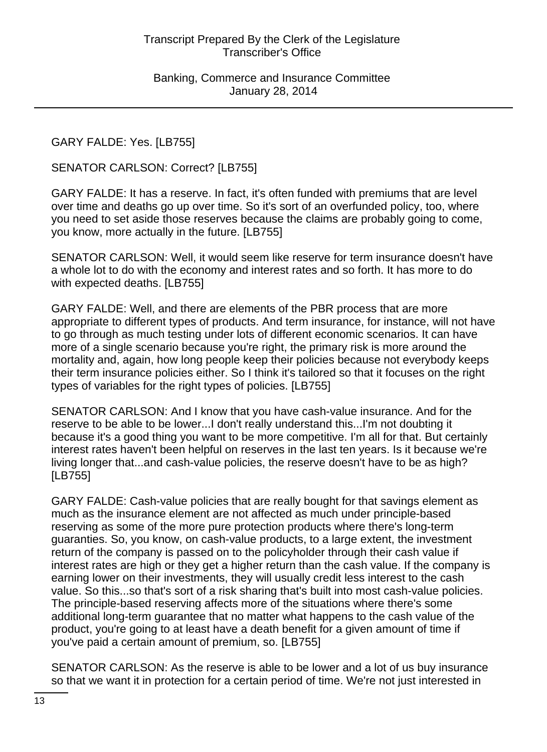GARY FALDE: Yes. [LB755]

SENATOR CARLSON: Correct? [LB755]

GARY FALDE: It has a reserve. In fact, it's often funded with premiums that are level over time and deaths go up over time. So it's sort of an overfunded policy, too, where you need to set aside those reserves because the claims are probably going to come, you know, more actually in the future. [LB755]

SENATOR CARLSON: Well, it would seem like reserve for term insurance doesn't have a whole lot to do with the economy and interest rates and so forth. It has more to do with expected deaths. [LB755]

GARY FALDE: Well, and there are elements of the PBR process that are more appropriate to different types of products. And term insurance, for instance, will not have to go through as much testing under lots of different economic scenarios. It can have more of a single scenario because you're right, the primary risk is more around the mortality and, again, how long people keep their policies because not everybody keeps their term insurance policies either. So I think it's tailored so that it focuses on the right types of variables for the right types of policies. [LB755]

SENATOR CARLSON: And I know that you have cash-value insurance. And for the reserve to be able to be lower...I don't really understand this...I'm not doubting it because it's a good thing you want to be more competitive. I'm all for that. But certainly interest rates haven't been helpful on reserves in the last ten years. Is it because we're living longer that...and cash-value policies, the reserve doesn't have to be as high? [LB755]

GARY FALDE: Cash-value policies that are really bought for that savings element as much as the insurance element are not affected as much under principle-based reserving as some of the more pure protection products where there's long-term guaranties. So, you know, on cash-value products, to a large extent, the investment return of the company is passed on to the policyholder through their cash value if interest rates are high or they get a higher return than the cash value. If the company is earning lower on their investments, they will usually credit less interest to the cash value. So this...so that's sort of a risk sharing that's built into most cash-value policies. The principle-based reserving affects more of the situations where there's some additional long-term guarantee that no matter what happens to the cash value of the product, you're going to at least have a death benefit for a given amount of time if you've paid a certain amount of premium, so. [LB755]

SENATOR CARLSON: As the reserve is able to be lower and a lot of us buy insurance so that we want it in protection for a certain period of time. We're not just interested in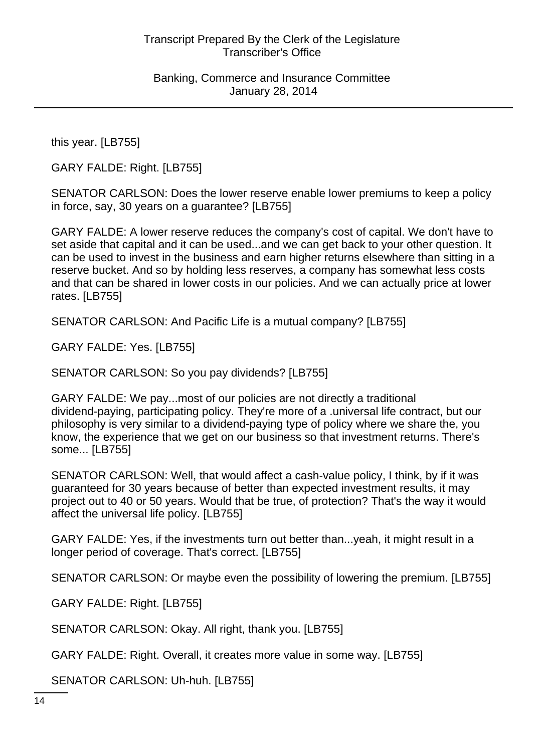this year. [LB755]

GARY FALDE: Right. [LB755]

SENATOR CARLSON: Does the lower reserve enable lower premiums to keep a policy in force, say, 30 years on a guarantee? [LB755]

GARY FALDE: A lower reserve reduces the company's cost of capital. We don't have to set aside that capital and it can be used...and we can get back to your other question. It can be used to invest in the business and earn higher returns elsewhere than sitting in a reserve bucket. And so by holding less reserves, a company has somewhat less costs and that can be shared in lower costs in our policies. And we can actually price at lower rates. [LB755]

SENATOR CARLSON: And Pacific Life is a mutual company? [LB755]

GARY FALDE: Yes. [LB755]

SENATOR CARLSON: So you pay dividends? [LB755]

GARY FALDE: We pay...most of our policies are not directly a traditional dividend-paying, participating policy. They're more of a .universal life contract, but our philosophy is very similar to a dividend-paying type of policy where we share the, you know, the experience that we get on our business so that investment returns. There's some... [LB755]

SENATOR CARLSON: Well, that would affect a cash-value policy, I think, by if it was guaranteed for 30 years because of better than expected investment results, it may project out to 40 or 50 years. Would that be true, of protection? That's the way it would affect the universal life policy. [LB755]

GARY FALDE: Yes, if the investments turn out better than...yeah, it might result in a longer period of coverage. That's correct. [LB755]

SENATOR CARLSON: Or maybe even the possibility of lowering the premium. [LB755]

GARY FALDE: Right. [LB755]

SENATOR CARLSON: Okay. All right, thank you. [LB755]

GARY FALDE: Right. Overall, it creates more value in some way. [LB755]

SENATOR CARLSON: Uh-huh. [LB755]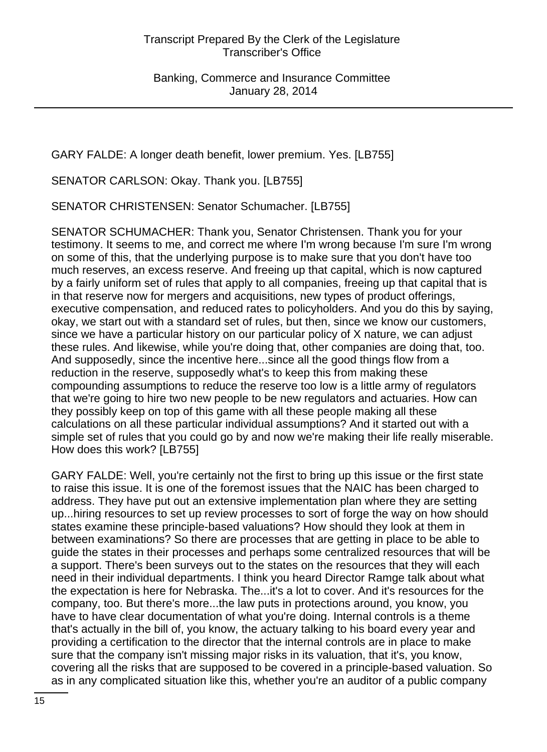GARY FALDE: A longer death benefit, lower premium. Yes. [LB755]

SENATOR CARLSON: Okay. Thank you. [LB755]

SENATOR CHRISTENSEN: Senator Schumacher. [LB755]

SENATOR SCHUMACHER: Thank you, Senator Christensen. Thank you for your testimony. It seems to me, and correct me where I'm wrong because I'm sure I'm wrong on some of this, that the underlying purpose is to make sure that you don't have too much reserves, an excess reserve. And freeing up that capital, which is now captured by a fairly uniform set of rules that apply to all companies, freeing up that capital that is in that reserve now for mergers and acquisitions, new types of product offerings, executive compensation, and reduced rates to policyholders. And you do this by saying, okay, we start out with a standard set of rules, but then, since we know our customers, since we have a particular history on our particular policy of X nature, we can adjust these rules. And likewise, while you're doing that, other companies are doing that, too. And supposedly, since the incentive here...since all the good things flow from a reduction in the reserve, supposedly what's to keep this from making these compounding assumptions to reduce the reserve too low is a little army of regulators that we're going to hire two new people to be new regulators and actuaries. How can they possibly keep on top of this game with all these people making all these calculations on all these particular individual assumptions? And it started out with a simple set of rules that you could go by and now we're making their life really miserable. How does this work? [LB755]

GARY FALDE: Well, you're certainly not the first to bring up this issue or the first state to raise this issue. It is one of the foremost issues that the NAIC has been charged to address. They have put out an extensive implementation plan where they are setting up...hiring resources to set up review processes to sort of forge the way on how should states examine these principle-based valuations? How should they look at them in between examinations? So there are processes that are getting in place to be able to guide the states in their processes and perhaps some centralized resources that will be a support. There's been surveys out to the states on the resources that they will each need in their individual departments. I think you heard Director Ramge talk about what the expectation is here for Nebraska. The...it's a lot to cover. And it's resources for the company, too. But there's more...the law puts in protections around, you know, you have to have clear documentation of what you're doing. Internal controls is a theme that's actually in the bill of, you know, the actuary talking to his board every year and providing a certification to the director that the internal controls are in place to make sure that the company isn't missing major risks in its valuation, that it's, you know, covering all the risks that are supposed to be covered in a principle-based valuation. So as in any complicated situation like this, whether you're an auditor of a public company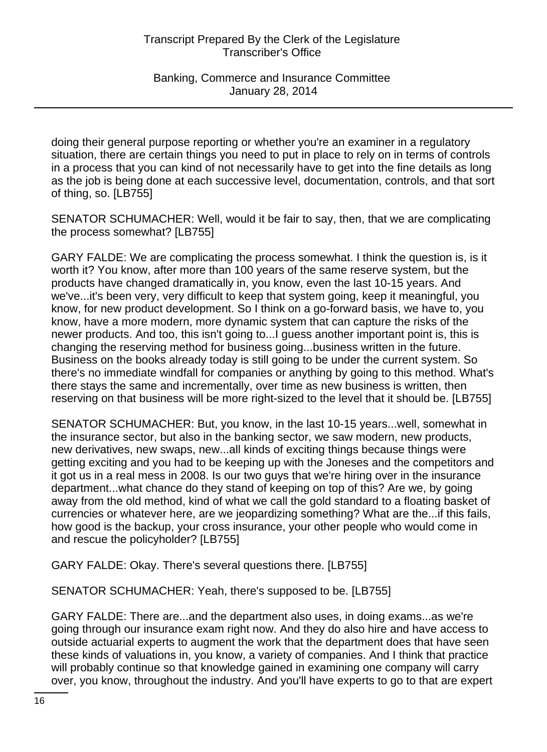Banking, Commerce and Insurance Committee January 28, 2014

doing their general purpose reporting or whether you're an examiner in a regulatory situation, there are certain things you need to put in place to rely on in terms of controls in a process that you can kind of not necessarily have to get into the fine details as long as the job is being done at each successive level, documentation, controls, and that sort of thing, so. [LB755]

SENATOR SCHUMACHER: Well, would it be fair to say, then, that we are complicating the process somewhat? [LB755]

GARY FALDE: We are complicating the process somewhat. I think the question is, is it worth it? You know, after more than 100 years of the same reserve system, but the products have changed dramatically in, you know, even the last 10-15 years. And we've...it's been very, very difficult to keep that system going, keep it meaningful, you know, for new product development. So I think on a go-forward basis, we have to, you know, have a more modern, more dynamic system that can capture the risks of the newer products. And too, this isn't going to...I guess another important point is, this is changing the reserving method for business going...business written in the future. Business on the books already today is still going to be under the current system. So there's no immediate windfall for companies or anything by going to this method. What's there stays the same and incrementally, over time as new business is written, then reserving on that business will be more right-sized to the level that it should be. [LB755]

SENATOR SCHUMACHER: But, you know, in the last 10-15 years...well, somewhat in the insurance sector, but also in the banking sector, we saw modern, new products, new derivatives, new swaps, new...all kinds of exciting things because things were getting exciting and you had to be keeping up with the Joneses and the competitors and it got us in a real mess in 2008. Is our two guys that we're hiring over in the insurance department...what chance do they stand of keeping on top of this? Are we, by going away from the old method, kind of what we call the gold standard to a floating basket of currencies or whatever here, are we jeopardizing something? What are the...if this fails, how good is the backup, your cross insurance, your other people who would come in and rescue the policyholder? [LB755]

GARY FALDE: Okay. There's several questions there. [LB755]

SENATOR SCHUMACHER: Yeah, there's supposed to be. [LB755]

GARY FALDE: There are...and the department also uses, in doing exams...as we're going through our insurance exam right now. And they do also hire and have access to outside actuarial experts to augment the work that the department does that have seen these kinds of valuations in, you know, a variety of companies. And I think that practice will probably continue so that knowledge gained in examining one company will carry over, you know, throughout the industry. And you'll have experts to go to that are expert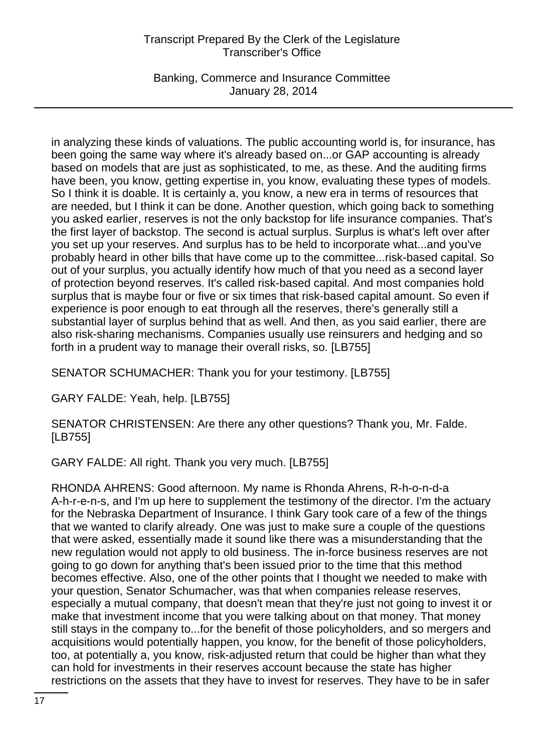Banking, Commerce and Insurance Committee January 28, 2014

in analyzing these kinds of valuations. The public accounting world is, for insurance, has been going the same way where it's already based on...or GAP accounting is already based on models that are just as sophisticated, to me, as these. And the auditing firms have been, you know, getting expertise in, you know, evaluating these types of models. So I think it is doable. It is certainly a, you know, a new era in terms of resources that are needed, but I think it can be done. Another question, which going back to something you asked earlier, reserves is not the only backstop for life insurance companies. That's the first layer of backstop. The second is actual surplus. Surplus is what's left over after you set up your reserves. And surplus has to be held to incorporate what...and you've probably heard in other bills that have come up to the committee...risk-based capital. So out of your surplus, you actually identify how much of that you need as a second layer of protection beyond reserves. It's called risk-based capital. And most companies hold surplus that is maybe four or five or six times that risk-based capital amount. So even if experience is poor enough to eat through all the reserves, there's generally still a substantial layer of surplus behind that as well. And then, as you said earlier, there are also risk-sharing mechanisms. Companies usually use reinsurers and hedging and so forth in a prudent way to manage their overall risks, so. [LB755]

SENATOR SCHUMACHER: Thank you for your testimony. [LB755]

GARY FALDE: Yeah, help. [LB755]

SENATOR CHRISTENSEN: Are there any other questions? Thank you, Mr. Falde. [LB755]

GARY FALDE: All right. Thank you very much. [LB755]

RHONDA AHRENS: Good afternoon. My name is Rhonda Ahrens, R-h-o-n-d-a A-h-r-e-n-s, and I'm up here to supplement the testimony of the director. I'm the actuary for the Nebraska Department of Insurance. I think Gary took care of a few of the things that we wanted to clarify already. One was just to make sure a couple of the questions that were asked, essentially made it sound like there was a misunderstanding that the new regulation would not apply to old business. The in-force business reserves are not going to go down for anything that's been issued prior to the time that this method becomes effective. Also, one of the other points that I thought we needed to make with your question, Senator Schumacher, was that when companies release reserves, especially a mutual company, that doesn't mean that they're just not going to invest it or make that investment income that you were talking about on that money. That money still stays in the company to...for the benefit of those policyholders, and so mergers and acquisitions would potentially happen, you know, for the benefit of those policyholders, too, at potentially a, you know, risk-adjusted return that could be higher than what they can hold for investments in their reserves account because the state has higher restrictions on the assets that they have to invest for reserves. They have to be in safer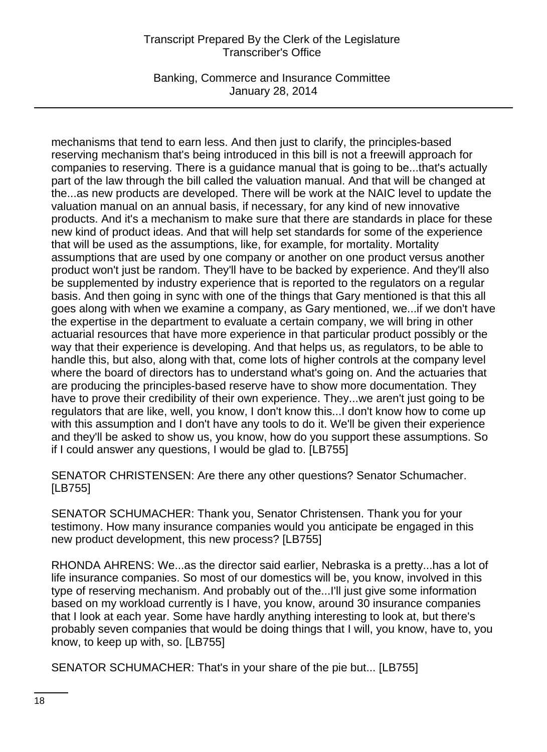Banking, Commerce and Insurance Committee January 28, 2014

mechanisms that tend to earn less. And then just to clarify, the principles-based reserving mechanism that's being introduced in this bill is not a freewill approach for companies to reserving. There is a guidance manual that is going to be...that's actually part of the law through the bill called the valuation manual. And that will be changed at the...as new products are developed. There will be work at the NAIC level to update the valuation manual on an annual basis, if necessary, for any kind of new innovative products. And it's a mechanism to make sure that there are standards in place for these new kind of product ideas. And that will help set standards for some of the experience that will be used as the assumptions, like, for example, for mortality. Mortality assumptions that are used by one company or another on one product versus another product won't just be random. They'll have to be backed by experience. And they'll also be supplemented by industry experience that is reported to the regulators on a regular basis. And then going in sync with one of the things that Gary mentioned is that this all goes along with when we examine a company, as Gary mentioned, we...if we don't have the expertise in the department to evaluate a certain company, we will bring in other actuarial resources that have more experience in that particular product possibly or the way that their experience is developing. And that helps us, as regulators, to be able to handle this, but also, along with that, come lots of higher controls at the company level where the board of directors has to understand what's going on. And the actuaries that are producing the principles-based reserve have to show more documentation. They have to prove their credibility of their own experience. They...we aren't just going to be regulators that are like, well, you know, I don't know this...I don't know how to come up with this assumption and I don't have any tools to do it. We'll be given their experience and they'll be asked to show us, you know, how do you support these assumptions. So if I could answer any questions, I would be glad to. [LB755]

SENATOR CHRISTENSEN: Are there any other questions? Senator Schumacher. [LB755]

SENATOR SCHUMACHER: Thank you, Senator Christensen. Thank you for your testimony. How many insurance companies would you anticipate be engaged in this new product development, this new process? [LB755]

RHONDA AHRENS: We...as the director said earlier, Nebraska is a pretty...has a lot of life insurance companies. So most of our domestics will be, you know, involved in this type of reserving mechanism. And probably out of the...I'll just give some information based on my workload currently is I have, you know, around 30 insurance companies that I look at each year. Some have hardly anything interesting to look at, but there's probably seven companies that would be doing things that I will, you know, have to, you know, to keep up with, so. [LB755]

SENATOR SCHUMACHER: That's in your share of the pie but... [LB755]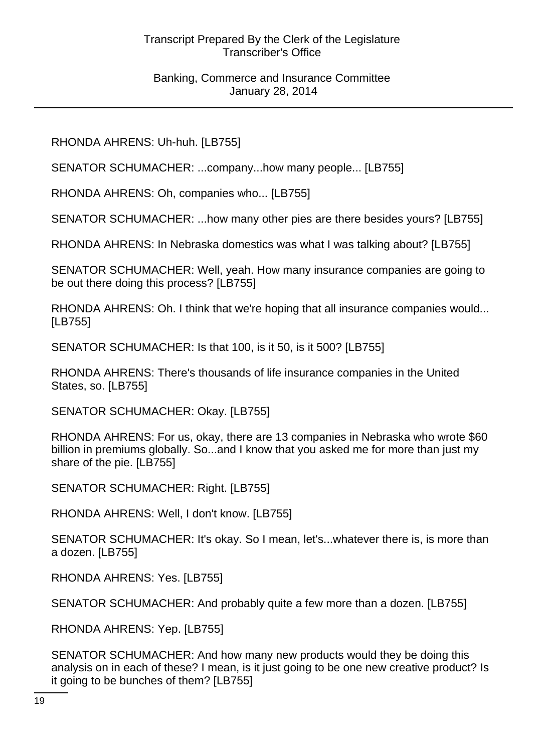RHONDA AHRENS: Uh-huh. [LB755]

SENATOR SCHUMACHER: ...company...how many people... [LB755]

RHONDA AHRENS: Oh, companies who... [LB755]

SENATOR SCHUMACHER: ...how many other pies are there besides yours? [LB755]

RHONDA AHRENS: In Nebraska domestics was what I was talking about? [LB755]

SENATOR SCHUMACHER: Well, yeah. How many insurance companies are going to be out there doing this process? [LB755]

RHONDA AHRENS: Oh. I think that we're hoping that all insurance companies would... [LB755]

SENATOR SCHUMACHER: Is that 100, is it 50, is it 500? [LB755]

RHONDA AHRENS: There's thousands of life insurance companies in the United States, so. [LB755]

SENATOR SCHUMACHER: Okay. [LB755]

RHONDA AHRENS: For us, okay, there are 13 companies in Nebraska who wrote \$60 billion in premiums globally. So...and I know that you asked me for more than just my share of the pie. [LB755]

SENATOR SCHUMACHER: Right. [LB755]

RHONDA AHRENS: Well, I don't know. [LB755]

SENATOR SCHUMACHER: It's okay. So I mean, let's...whatever there is, is more than a dozen. [LB755]

RHONDA AHRENS: Yes. [LB755]

SENATOR SCHUMACHER: And probably quite a few more than a dozen. [LB755]

RHONDA AHRENS: Yep. [LB755]

SENATOR SCHUMACHER: And how many new products would they be doing this analysis on in each of these? I mean, is it just going to be one new creative product? Is it going to be bunches of them? [LB755]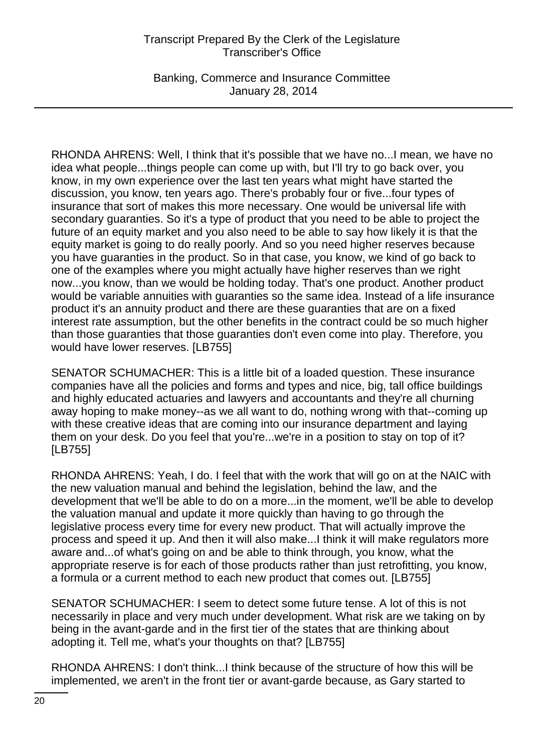Banking, Commerce and Insurance Committee January 28, 2014

RHONDA AHRENS: Well, I think that it's possible that we have no...I mean, we have no idea what people...things people can come up with, but I'll try to go back over, you know, in my own experience over the last ten years what might have started the discussion, you know, ten years ago. There's probably four or five...four types of insurance that sort of makes this more necessary. One would be universal life with secondary guaranties. So it's a type of product that you need to be able to project the future of an equity market and you also need to be able to say how likely it is that the equity market is going to do really poorly. And so you need higher reserves because you have guaranties in the product. So in that case, you know, we kind of go back to one of the examples where you might actually have higher reserves than we right now...you know, than we would be holding today. That's one product. Another product would be variable annuities with guaranties so the same idea. Instead of a life insurance product it's an annuity product and there are these guaranties that are on a fixed interest rate assumption, but the other benefits in the contract could be so much higher than those guaranties that those guaranties don't even come into play. Therefore, you would have lower reserves. [LB755]

SENATOR SCHUMACHER: This is a little bit of a loaded question. These insurance companies have all the policies and forms and types and nice, big, tall office buildings and highly educated actuaries and lawyers and accountants and they're all churning away hoping to make money--as we all want to do, nothing wrong with that--coming up with these creative ideas that are coming into our insurance department and laying them on your desk. Do you feel that you're...we're in a position to stay on top of it? [LB755]

RHONDA AHRENS: Yeah, I do. I feel that with the work that will go on at the NAIC with the new valuation manual and behind the legislation, behind the law, and the development that we'll be able to do on a more...in the moment, we'll be able to develop the valuation manual and update it more quickly than having to go through the legislative process every time for every new product. That will actually improve the process and speed it up. And then it will also make...I think it will make regulators more aware and...of what's going on and be able to think through, you know, what the appropriate reserve is for each of those products rather than just retrofitting, you know, a formula or a current method to each new product that comes out. [LB755]

SENATOR SCHUMACHER: I seem to detect some future tense. A lot of this is not necessarily in place and very much under development. What risk are we taking on by being in the avant-garde and in the first tier of the states that are thinking about adopting it. Tell me, what's your thoughts on that? [LB755]

RHONDA AHRENS: I don't think...I think because of the structure of how this will be implemented, we aren't in the front tier or avant-garde because, as Gary started to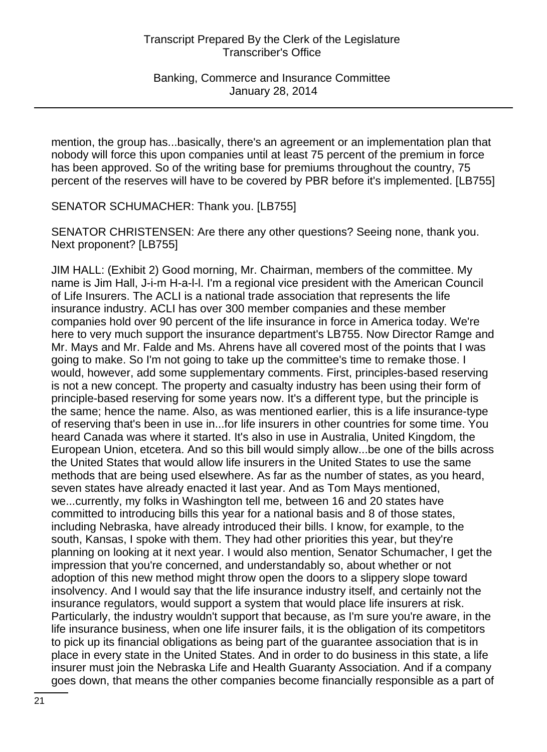mention, the group has...basically, there's an agreement or an implementation plan that nobody will force this upon companies until at least 75 percent of the premium in force has been approved. So of the writing base for premiums throughout the country, 75 percent of the reserves will have to be covered by PBR before it's implemented. [LB755]

SENATOR SCHUMACHER: Thank you. [LB755]

SENATOR CHRISTENSEN: Are there any other questions? Seeing none, thank you. Next proponent? [LB755]

JIM HALL: (Exhibit 2) Good morning, Mr. Chairman, members of the committee. My name is Jim Hall, J-i-m H-a-l-l. I'm a regional vice president with the American Council of Life Insurers. The ACLI is a national trade association that represents the life insurance industry. ACLI has over 300 member companies and these member companies hold over 90 percent of the life insurance in force in America today. We're here to very much support the insurance department's LB755. Now Director Ramge and Mr. Mays and Mr. Falde and Ms. Ahrens have all covered most of the points that I was going to make. So I'm not going to take up the committee's time to remake those. I would, however, add some supplementary comments. First, principles-based reserving is not a new concept. The property and casualty industry has been using their form of principle-based reserving for some years now. It's a different type, but the principle is the same; hence the name. Also, as was mentioned earlier, this is a life insurance-type of reserving that's been in use in...for life insurers in other countries for some time. You heard Canada was where it started. It's also in use in Australia, United Kingdom, the European Union, etcetera. And so this bill would simply allow...be one of the bills across the United States that would allow life insurers in the United States to use the same methods that are being used elsewhere. As far as the number of states, as you heard, seven states have already enacted it last year. And as Tom Mays mentioned, we...currently, my folks in Washington tell me, between 16 and 20 states have committed to introducing bills this year for a national basis and 8 of those states, including Nebraska, have already introduced their bills. I know, for example, to the south, Kansas, I spoke with them. They had other priorities this year, but they're planning on looking at it next year. I would also mention, Senator Schumacher, I get the impression that you're concerned, and understandably so, about whether or not adoption of this new method might throw open the doors to a slippery slope toward insolvency. And I would say that the life insurance industry itself, and certainly not the insurance regulators, would support a system that would place life insurers at risk. Particularly, the industry wouldn't support that because, as I'm sure you're aware, in the life insurance business, when one life insurer fails, it is the obligation of its competitors to pick up its financial obligations as being part of the guarantee association that is in place in every state in the United States. And in order to do business in this state, a life insurer must join the Nebraska Life and Health Guaranty Association. And if a company goes down, that means the other companies become financially responsible as a part of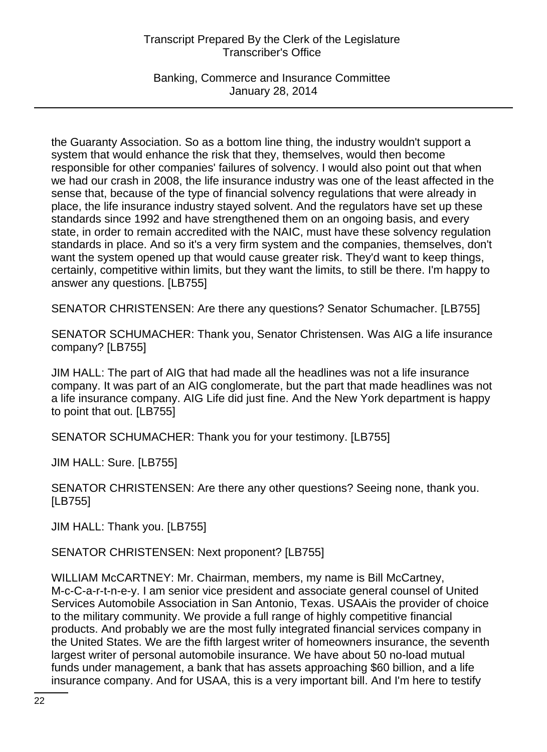Banking, Commerce and Insurance Committee January 28, 2014

the Guaranty Association. So as a bottom line thing, the industry wouldn't support a system that would enhance the risk that they, themselves, would then become responsible for other companies' failures of solvency. I would also point out that when we had our crash in 2008, the life insurance industry was one of the least affected in the sense that, because of the type of financial solvency regulations that were already in place, the life insurance industry stayed solvent. And the regulators have set up these standards since 1992 and have strengthened them on an ongoing basis, and every state, in order to remain accredited with the NAIC, must have these solvency regulation standards in place. And so it's a very firm system and the companies, themselves, don't want the system opened up that would cause greater risk. They'd want to keep things, certainly, competitive within limits, but they want the limits, to still be there. I'm happy to answer any questions. [LB755]

SENATOR CHRISTENSEN: Are there any questions? Senator Schumacher. [LB755]

SENATOR SCHUMACHER: Thank you, Senator Christensen. Was AIG a life insurance company? [LB755]

JIM HALL: The part of AIG that had made all the headlines was not a life insurance company. It was part of an AIG conglomerate, but the part that made headlines was not a life insurance company. AIG Life did just fine. And the New York department is happy to point that out. [LB755]

SENATOR SCHUMACHER: Thank you for your testimony. [LB755]

JIM HALL: Sure. [LB755]

SENATOR CHRISTENSEN: Are there any other questions? Seeing none, thank you. [LB755]

JIM HALL: Thank you. [LB755]

SENATOR CHRISTENSEN: Next proponent? [LB755]

WILLIAM McCARTNEY: Mr. Chairman, members, my name is Bill McCartney, M-c-C-a-r-t-n-e-y. I am senior vice president and associate general counsel of United Services Automobile Association in San Antonio, Texas. USAAis the provider of choice to the military community. We provide a full range of highly competitive financial products. And probably we are the most fully integrated financial services company in the United States. We are the fifth largest writer of homeowners insurance, the seventh largest writer of personal automobile insurance. We have about 50 no-load mutual funds under management, a bank that has assets approaching \$60 billion, and a life insurance company. And for USAA, this is a very important bill. And I'm here to testify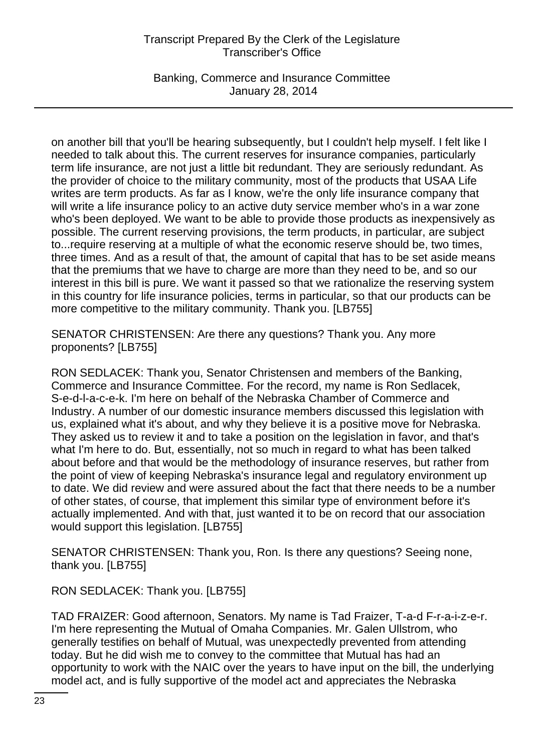Banking, Commerce and Insurance Committee January 28, 2014

on another bill that you'll be hearing subsequently, but I couldn't help myself. I felt like I needed to talk about this. The current reserves for insurance companies, particularly term life insurance, are not just a little bit redundant. They are seriously redundant. As the provider of choice to the military community, most of the products that USAA Life writes are term products. As far as I know, we're the only life insurance company that will write a life insurance policy to an active duty service member who's in a war zone who's been deployed. We want to be able to provide those products as inexpensively as possible. The current reserving provisions, the term products, in particular, are subject to...require reserving at a multiple of what the economic reserve should be, two times, three times. And as a result of that, the amount of capital that has to be set aside means that the premiums that we have to charge are more than they need to be, and so our interest in this bill is pure. We want it passed so that we rationalize the reserving system in this country for life insurance policies, terms in particular, so that our products can be more competitive to the military community. Thank you. [LB755]

SENATOR CHRISTENSEN: Are there any questions? Thank you. Any more proponents? [LB755]

RON SEDLACEK: Thank you, Senator Christensen and members of the Banking, Commerce and Insurance Committee. For the record, my name is Ron Sedlacek, S-e-d-l-a-c-e-k. I'm here on behalf of the Nebraska Chamber of Commerce and Industry. A number of our domestic insurance members discussed this legislation with us, explained what it's about, and why they believe it is a positive move for Nebraska. They asked us to review it and to take a position on the legislation in favor, and that's what I'm here to do. But, essentially, not so much in regard to what has been talked about before and that would be the methodology of insurance reserves, but rather from the point of view of keeping Nebraska's insurance legal and regulatory environment up to date. We did review and were assured about the fact that there needs to be a number of other states, of course, that implement this similar type of environment before it's actually implemented. And with that, just wanted it to be on record that our association would support this legislation. [LB755]

SENATOR CHRISTENSEN: Thank you, Ron. Is there any questions? Seeing none, thank you. [LB755]

RON SEDLACEK: Thank you. [LB755]

TAD FRAIZER: Good afternoon, Senators. My name is Tad Fraizer, T-a-d F-r-a-i-z-e-r. I'm here representing the Mutual of Omaha Companies. Mr. Galen Ullstrom, who generally testifies on behalf of Mutual, was unexpectedly prevented from attending today. But he did wish me to convey to the committee that Mutual has had an opportunity to work with the NAIC over the years to have input on the bill, the underlying model act, and is fully supportive of the model act and appreciates the Nebraska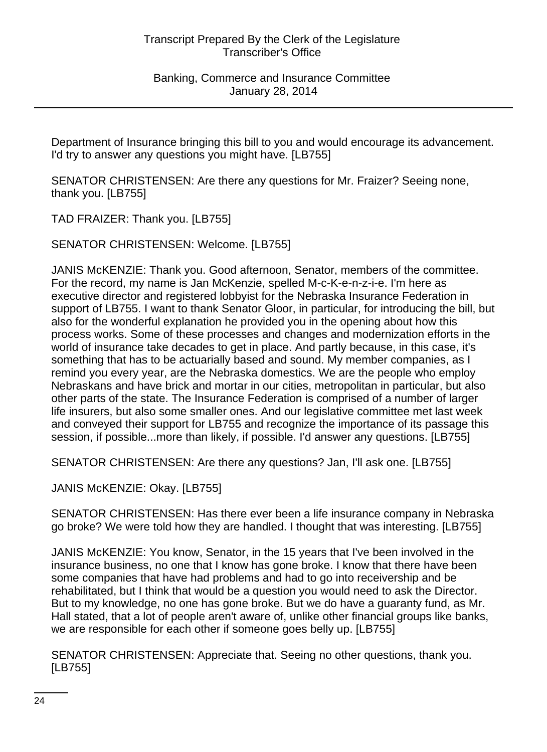Department of Insurance bringing this bill to you and would encourage its advancement. I'd try to answer any questions you might have. [LB755]

SENATOR CHRISTENSEN: Are there any questions for Mr. Fraizer? Seeing none, thank you. [LB755]

TAD FRAIZER: Thank you. [LB755]

SENATOR CHRISTENSEN: Welcome. [LB755]

JANIS McKENZIE: Thank you. Good afternoon, Senator, members of the committee. For the record, my name is Jan McKenzie, spelled M-c-K-e-n-z-i-e. I'm here as executive director and registered lobbyist for the Nebraska Insurance Federation in support of LB755. I want to thank Senator Gloor, in particular, for introducing the bill, but also for the wonderful explanation he provided you in the opening about how this process works. Some of these processes and changes and modernization efforts in the world of insurance take decades to get in place. And partly because, in this case, it's something that has to be actuarially based and sound. My member companies, as I remind you every year, are the Nebraska domestics. We are the people who employ Nebraskans and have brick and mortar in our cities, metropolitan in particular, but also other parts of the state. The Insurance Federation is comprised of a number of larger life insurers, but also some smaller ones. And our legislative committee met last week and conveyed their support for LB755 and recognize the importance of its passage this session, if possible...more than likely, if possible. I'd answer any questions. [LB755]

SENATOR CHRISTENSEN: Are there any questions? Jan, I'll ask one. [LB755]

JANIS McKENZIE: Okay. [LB755]

SENATOR CHRISTENSEN: Has there ever been a life insurance company in Nebraska go broke? We were told how they are handled. I thought that was interesting. [LB755]

JANIS McKENZIE: You know, Senator, in the 15 years that I've been involved in the insurance business, no one that I know has gone broke. I know that there have been some companies that have had problems and had to go into receivership and be rehabilitated, but I think that would be a question you would need to ask the Director. But to my knowledge, no one has gone broke. But we do have a guaranty fund, as Mr. Hall stated, that a lot of people aren't aware of, unlike other financial groups like banks, we are responsible for each other if someone goes belly up. [LB755]

SENATOR CHRISTENSEN: Appreciate that. Seeing no other questions, thank you. [LB755]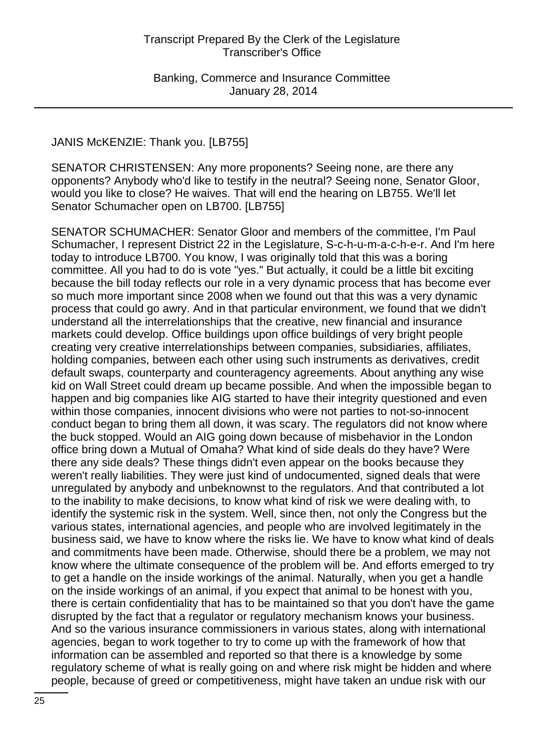### JANIS McKENZIE: Thank you. [LB755]

SENATOR CHRISTENSEN: Any more proponents? Seeing none, are there any opponents? Anybody who'd like to testify in the neutral? Seeing none, Senator Gloor, would you like to close? He waives. That will end the hearing on LB755. We'll let Senator Schumacher open on LB700. [LB755]

SENATOR SCHUMACHER: Senator Gloor and members of the committee, I'm Paul Schumacher, I represent District 22 in the Legislature, S-c-h-u-m-a-c-h-e-r. And I'm here today to introduce LB700. You know, I was originally told that this was a boring committee. All you had to do is vote "yes." But actually, it could be a little bit exciting because the bill today reflects our role in a very dynamic process that has become ever so much more important since 2008 when we found out that this was a very dynamic process that could go awry. And in that particular environment, we found that we didn't understand all the interrelationships that the creative, new financial and insurance markets could develop. Office buildings upon office buildings of very bright people creating very creative interrelationships between companies, subsidiaries, affiliates, holding companies, between each other using such instruments as derivatives, credit default swaps, counterparty and counteragency agreements. About anything any wise kid on Wall Street could dream up became possible. And when the impossible began to happen and big companies like AIG started to have their integrity questioned and even within those companies, innocent divisions who were not parties to not-so-innocent conduct began to bring them all down, it was scary. The regulators did not know where the buck stopped. Would an AIG going down because of misbehavior in the London office bring down a Mutual of Omaha? What kind of side deals do they have? Were there any side deals? These things didn't even appear on the books because they weren't really liabilities. They were just kind of undocumented, signed deals that were unregulated by anybody and unbeknownst to the regulators. And that contributed a lot to the inability to make decisions, to know what kind of risk we were dealing with, to identify the systemic risk in the system. Well, since then, not only the Congress but the various states, international agencies, and people who are involved legitimately in the business said, we have to know where the risks lie. We have to know what kind of deals and commitments have been made. Otherwise, should there be a problem, we may not know where the ultimate consequence of the problem will be. And efforts emerged to try to get a handle on the inside workings of the animal. Naturally, when you get a handle on the inside workings of an animal, if you expect that animal to be honest with you, there is certain confidentiality that has to be maintained so that you don't have the game disrupted by the fact that a regulator or regulatory mechanism knows your business. And so the various insurance commissioners in various states, along with international agencies, began to work together to try to come up with the framework of how that information can be assembled and reported so that there is a knowledge by some regulatory scheme of what is really going on and where risk might be hidden and where people, because of greed or competitiveness, might have taken an undue risk with our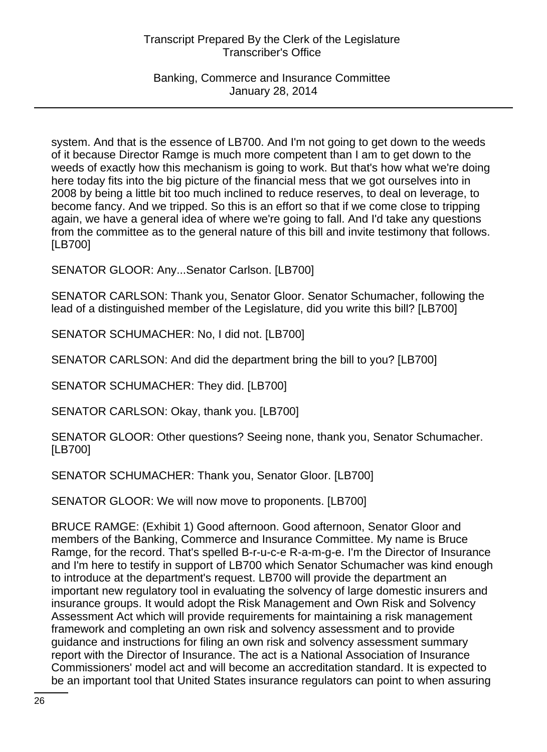Banking, Commerce and Insurance Committee January 28, 2014

system. And that is the essence of LB700. And I'm not going to get down to the weeds of it because Director Ramge is much more competent than I am to get down to the weeds of exactly how this mechanism is going to work. But that's how what we're doing here today fits into the big picture of the financial mess that we got ourselves into in 2008 by being a little bit too much inclined to reduce reserves, to deal on leverage, to become fancy. And we tripped. So this is an effort so that if we come close to tripping again, we have a general idea of where we're going to fall. And I'd take any questions from the committee as to the general nature of this bill and invite testimony that follows. [LB700]

SENATOR GLOOR: Any...Senator Carlson. [LB700]

SENATOR CARLSON: Thank you, Senator Gloor. Senator Schumacher, following the lead of a distinguished member of the Legislature, did you write this bill? [LB700]

SENATOR SCHUMACHER: No, I did not. [LB700]

SENATOR CARLSON: And did the department bring the bill to you? [LB700]

SENATOR SCHUMACHER: They did. [LB700]

SENATOR CARLSON: Okay, thank you. [LB700]

SENATOR GLOOR: Other questions? Seeing none, thank you, Senator Schumacher. [LB700]

SENATOR SCHUMACHER: Thank you, Senator Gloor. [LB700]

SENATOR GLOOR: We will now move to proponents. [LB700]

BRUCE RAMGE: (Exhibit 1) Good afternoon. Good afternoon, Senator Gloor and members of the Banking, Commerce and Insurance Committee. My name is Bruce Ramge, for the record. That's spelled B-r-u-c-e R-a-m-g-e. I'm the Director of Insurance and I'm here to testify in support of LB700 which Senator Schumacher was kind enough to introduce at the department's request. LB700 will provide the department an important new regulatory tool in evaluating the solvency of large domestic insurers and insurance groups. It would adopt the Risk Management and Own Risk and Solvency Assessment Act which will provide requirements for maintaining a risk management framework and completing an own risk and solvency assessment and to provide guidance and instructions for filing an own risk and solvency assessment summary report with the Director of Insurance. The act is a National Association of Insurance Commissioners' model act and will become an accreditation standard. It is expected to be an important tool that United States insurance regulators can point to when assuring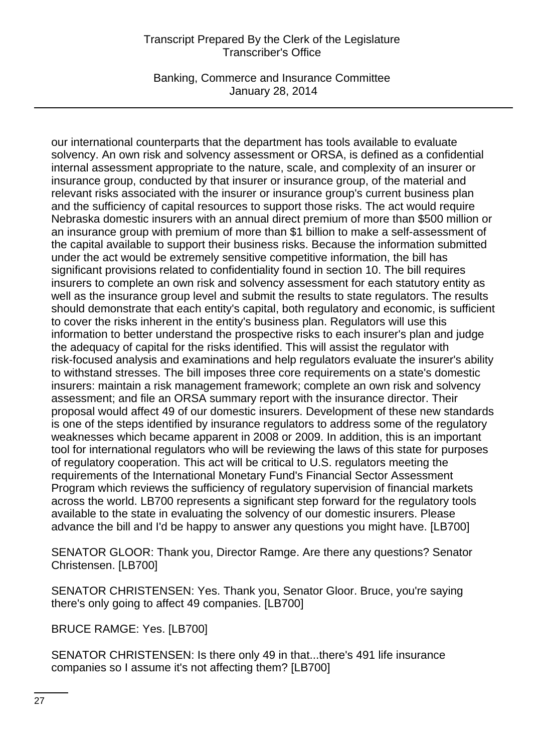Banking, Commerce and Insurance Committee January 28, 2014

our international counterparts that the department has tools available to evaluate solvency. An own risk and solvency assessment or ORSA, is defined as a confidential internal assessment appropriate to the nature, scale, and complexity of an insurer or insurance group, conducted by that insurer or insurance group, of the material and relevant risks associated with the insurer or insurance group's current business plan and the sufficiency of capital resources to support those risks. The act would require Nebraska domestic insurers with an annual direct premium of more than \$500 million or an insurance group with premium of more than \$1 billion to make a self-assessment of the capital available to support their business risks. Because the information submitted under the act would be extremely sensitive competitive information, the bill has significant provisions related to confidentiality found in section 10. The bill requires insurers to complete an own risk and solvency assessment for each statutory entity as well as the insurance group level and submit the results to state regulators. The results should demonstrate that each entity's capital, both regulatory and economic, is sufficient to cover the risks inherent in the entity's business plan. Regulators will use this information to better understand the prospective risks to each insurer's plan and judge the adequacy of capital for the risks identified. This will assist the regulator with risk-focused analysis and examinations and help regulators evaluate the insurer's ability to withstand stresses. The bill imposes three core requirements on a state's domestic insurers: maintain a risk management framework; complete an own risk and solvency assessment; and file an ORSA summary report with the insurance director. Their proposal would affect 49 of our domestic insurers. Development of these new standards is one of the steps identified by insurance regulators to address some of the regulatory weaknesses which became apparent in 2008 or 2009. In addition, this is an important tool for international regulators who will be reviewing the laws of this state for purposes of regulatory cooperation. This act will be critical to U.S. regulators meeting the requirements of the International Monetary Fund's Financial Sector Assessment Program which reviews the sufficiency of regulatory supervision of financial markets across the world. LB700 represents a significant step forward for the regulatory tools available to the state in evaluating the solvency of our domestic insurers. Please advance the bill and I'd be happy to answer any questions you might have. [LB700]

SENATOR GLOOR: Thank you, Director Ramge. Are there any questions? Senator Christensen. [LB700]

SENATOR CHRISTENSEN: Yes. Thank you, Senator Gloor. Bruce, you're saying there's only going to affect 49 companies. [LB700]

BRUCE RAMGE: Yes. [LB700]

SENATOR CHRISTENSEN: Is there only 49 in that...there's 491 life insurance companies so I assume it's not affecting them? [LB700]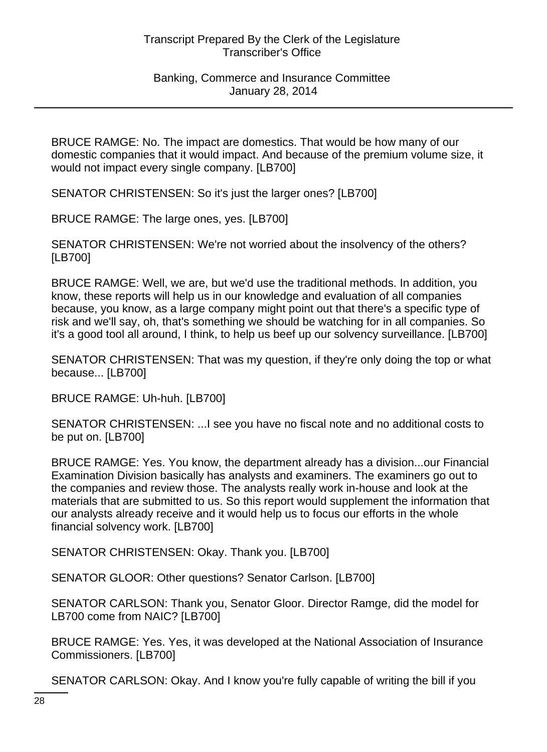BRUCE RAMGE: No. The impact are domestics. That would be how many of our domestic companies that it would impact. And because of the premium volume size, it would not impact every single company. [LB700]

SENATOR CHRISTENSEN: So it's just the larger ones? [LB700]

BRUCE RAMGE: The large ones, yes. [LB700]

SENATOR CHRISTENSEN: We're not worried about the insolvency of the others? [LB700]

BRUCE RAMGE: Well, we are, but we'd use the traditional methods. In addition, you know, these reports will help us in our knowledge and evaluation of all companies because, you know, as a large company might point out that there's a specific type of risk and we'll say, oh, that's something we should be watching for in all companies. So it's a good tool all around, I think, to help us beef up our solvency surveillance. [LB700]

SENATOR CHRISTENSEN: That was my question, if they're only doing the top or what because... [LB700]

BRUCE RAMGE: Uh-huh. [LB700]

SENATOR CHRISTENSEN: ...I see you have no fiscal note and no additional costs to be put on. [LB700]

BRUCE RAMGE: Yes. You know, the department already has a division...our Financial Examination Division basically has analysts and examiners. The examiners go out to the companies and review those. The analysts really work in-house and look at the materials that are submitted to us. So this report would supplement the information that our analysts already receive and it would help us to focus our efforts in the whole financial solvency work. [LB700]

SENATOR CHRISTENSEN: Okay. Thank you. [LB700]

SENATOR GLOOR: Other questions? Senator Carlson. [LB700]

SENATOR CARLSON: Thank you, Senator Gloor. Director Ramge, did the model for LB700 come from NAIC? [LB700]

BRUCE RAMGE: Yes. Yes, it was developed at the National Association of Insurance Commissioners. [LB700]

SENATOR CARLSON: Okay. And I know you're fully capable of writing the bill if you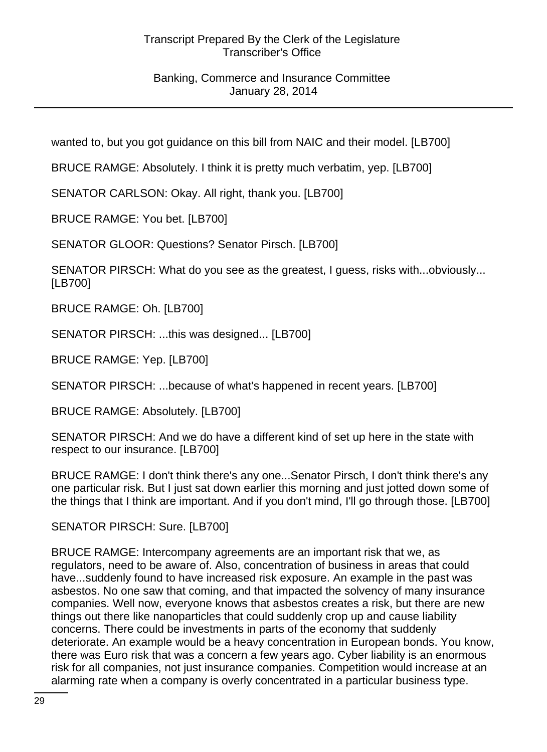# Banking, Commerce and Insurance Committee January 28, 2014

wanted to, but you got guidance on this bill from NAIC and their model. [LB700]

BRUCE RAMGE: Absolutely. I think it is pretty much verbatim, yep. [LB700]

SENATOR CARLSON: Okay. All right, thank you. [LB700]

BRUCE RAMGE: You bet. [LB700]

SENATOR GLOOR: Questions? Senator Pirsch. [LB700]

SENATOR PIRSCH: What do you see as the greatest, I guess, risks with...obviously... [LB700]

BRUCE RAMGE: Oh. [LB700]

SENATOR PIRSCH: ...this was designed... [LB700]

BRUCE RAMGE: Yep. [LB700]

SENATOR PIRSCH: ...because of what's happened in recent years. [LB700]

BRUCE RAMGE: Absolutely. [LB700]

SENATOR PIRSCH: And we do have a different kind of set up here in the state with respect to our insurance. [LB700]

BRUCE RAMGE: I don't think there's any one...Senator Pirsch, I don't think there's any one particular risk. But I just sat down earlier this morning and just jotted down some of the things that I think are important. And if you don't mind, I'll go through those. [LB700]

SENATOR PIRSCH: Sure. [LB700]

BRUCE RAMGE: Intercompany agreements are an important risk that we, as regulators, need to be aware of. Also, concentration of business in areas that could have...suddenly found to have increased risk exposure. An example in the past was asbestos. No one saw that coming, and that impacted the solvency of many insurance companies. Well now, everyone knows that asbestos creates a risk, but there are new things out there like nanoparticles that could suddenly crop up and cause liability concerns. There could be investments in parts of the economy that suddenly deteriorate. An example would be a heavy concentration in European bonds. You know, there was Euro risk that was a concern a few years ago. Cyber liability is an enormous risk for all companies, not just insurance companies. Competition would increase at an alarming rate when a company is overly concentrated in a particular business type.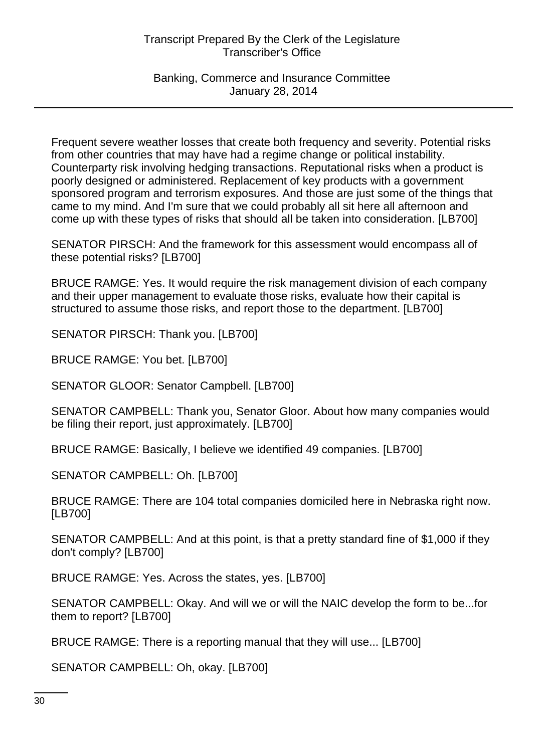Banking, Commerce and Insurance Committee January 28, 2014

Frequent severe weather losses that create both frequency and severity. Potential risks from other countries that may have had a regime change or political instability. Counterparty risk involving hedging transactions. Reputational risks when a product is poorly designed or administered. Replacement of key products with a government sponsored program and terrorism exposures. And those are just some of the things that came to my mind. And I'm sure that we could probably all sit here all afternoon and come up with these types of risks that should all be taken into consideration. [LB700]

SENATOR PIRSCH: And the framework for this assessment would encompass all of these potential risks? [LB700]

BRUCE RAMGE: Yes. It would require the risk management division of each company and their upper management to evaluate those risks, evaluate how their capital is structured to assume those risks, and report those to the department. [LB700]

SENATOR PIRSCH: Thank you. [LB700]

BRUCE RAMGE: You bet. [LB700]

SENATOR GLOOR: Senator Campbell. [LB700]

SENATOR CAMPBELL: Thank you, Senator Gloor. About how many companies would be filing their report, just approximately. [LB700]

BRUCE RAMGE: Basically, I believe we identified 49 companies. [LB700]

SENATOR CAMPBELL: Oh. [LB700]

BRUCE RAMGE: There are 104 total companies domiciled here in Nebraska right now. [LB700]

SENATOR CAMPBELL: And at this point, is that a pretty standard fine of \$1,000 if they don't comply? [LB700]

BRUCE RAMGE: Yes. Across the states, yes. [LB700]

SENATOR CAMPBELL: Okay. And will we or will the NAIC develop the form to be...for them to report? [LB700]

BRUCE RAMGE: There is a reporting manual that they will use... [LB700]

SENATOR CAMPBELL: Oh, okay. [LB700]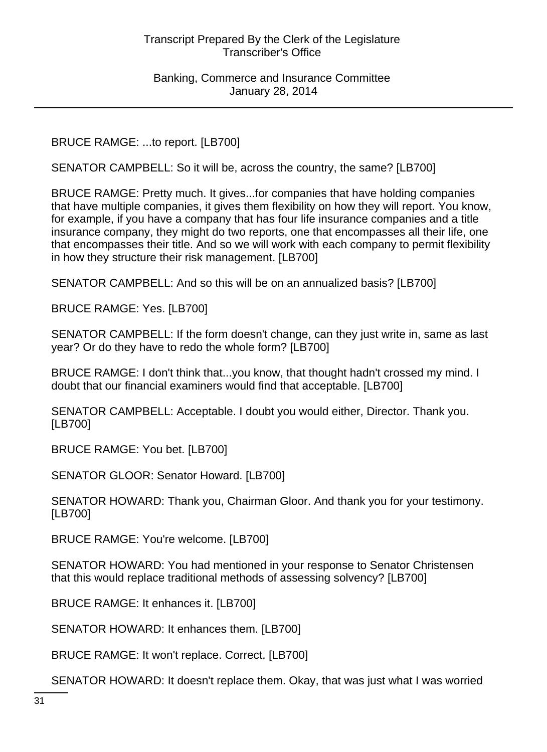BRUCE RAMGE: ...to report. [LB700]

SENATOR CAMPBELL: So it will be, across the country, the same? [LB700]

BRUCE RAMGE: Pretty much. It gives...for companies that have holding companies that have multiple companies, it gives them flexibility on how they will report. You know, for example, if you have a company that has four life insurance companies and a title insurance company, they might do two reports, one that encompasses all their life, one that encompasses their title. And so we will work with each company to permit flexibility in how they structure their risk management. [LB700]

SENATOR CAMPBELL: And so this will be on an annualized basis? [LB700]

BRUCE RAMGE: Yes. [LB700]

SENATOR CAMPBELL: If the form doesn't change, can they just write in, same as last year? Or do they have to redo the whole form? [LB700]

BRUCE RAMGE: I don't think that...you know, that thought hadn't crossed my mind. I doubt that our financial examiners would find that acceptable. [LB700]

SENATOR CAMPBELL: Acceptable. I doubt you would either, Director. Thank you. [LB700]

BRUCE RAMGE: You bet. [LB700]

SENATOR GLOOR: Senator Howard. [LB700]

SENATOR HOWARD: Thank you, Chairman Gloor. And thank you for your testimony. [LB700]

BRUCE RAMGE: You're welcome. [LB700]

SENATOR HOWARD: You had mentioned in your response to Senator Christensen that this would replace traditional methods of assessing solvency? [LB700]

BRUCE RAMGE: It enhances it. [LB700]

SENATOR HOWARD: It enhances them. [LB700]

BRUCE RAMGE: It won't replace. Correct. [LB700]

SENATOR HOWARD: It doesn't replace them. Okay, that was just what I was worried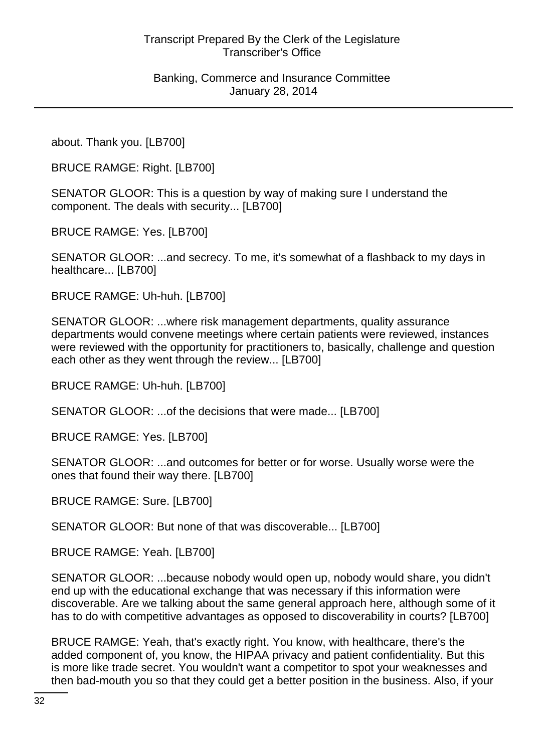about. Thank you. [LB700]

BRUCE RAMGE: Right. [LB700]

SENATOR GLOOR: This is a question by way of making sure I understand the component. The deals with security... [LB700]

BRUCE RAMGE: Yes. [LB700]

SENATOR GLOOR: ...and secrecy. To me, it's somewhat of a flashback to my days in healthcare... [LB700]

BRUCE RAMGE: Uh-huh. [LB700]

SENATOR GLOOR: ...where risk management departments, quality assurance departments would convene meetings where certain patients were reviewed, instances were reviewed with the opportunity for practitioners to, basically, challenge and question each other as they went through the review... [LB700]

BRUCE RAMGE: Uh-huh. [LB700]

SENATOR GLOOR: ...of the decisions that were made... [LB700]

BRUCE RAMGE: Yes. [LB700]

SENATOR GLOOR: ...and outcomes for better or for worse. Usually worse were the ones that found their way there. [LB700]

BRUCE RAMGE: Sure. [LB700]

SENATOR GLOOR: But none of that was discoverable... [LB700]

BRUCE RAMGE: Yeah. [LB700]

SENATOR GLOOR: ...because nobody would open up, nobody would share, you didn't end up with the educational exchange that was necessary if this information were discoverable. Are we talking about the same general approach here, although some of it has to do with competitive advantages as opposed to discoverability in courts? [LB700]

BRUCE RAMGE: Yeah, that's exactly right. You know, with healthcare, there's the added component of, you know, the HIPAA privacy and patient confidentiality. But this is more like trade secret. You wouldn't want a competitor to spot your weaknesses and then bad-mouth you so that they could get a better position in the business. Also, if your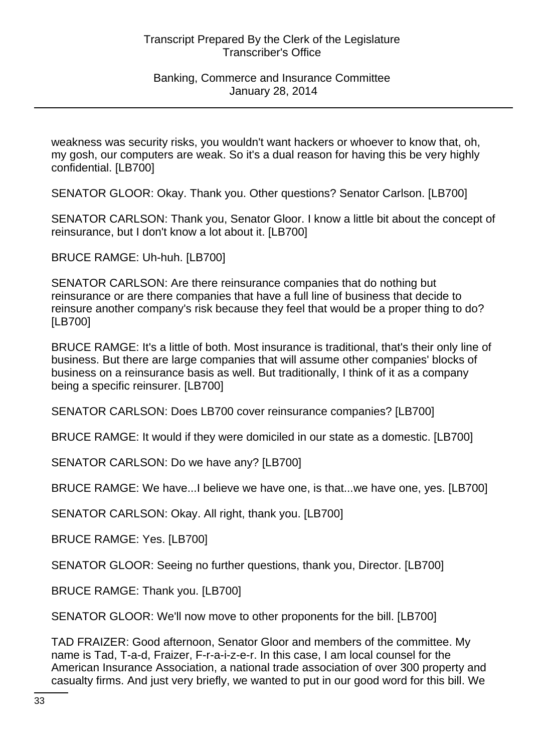weakness was security risks, you wouldn't want hackers or whoever to know that, oh, my gosh, our computers are weak. So it's a dual reason for having this be very highly confidential. [LB700]

SENATOR GLOOR: Okay. Thank you. Other questions? Senator Carlson. [LB700]

SENATOR CARLSON: Thank you, Senator Gloor. I know a little bit about the concept of reinsurance, but I don't know a lot about it. [LB700]

BRUCE RAMGE: Uh-huh. [LB700]

SENATOR CARLSON: Are there reinsurance companies that do nothing but reinsurance or are there companies that have a full line of business that decide to reinsure another company's risk because they feel that would be a proper thing to do? [LB700]

BRUCE RAMGE: It's a little of both. Most insurance is traditional, that's their only line of business. But there are large companies that will assume other companies' blocks of business on a reinsurance basis as well. But traditionally, I think of it as a company being a specific reinsurer. [LB700]

SENATOR CARLSON: Does LB700 cover reinsurance companies? [LB700]

BRUCE RAMGE: It would if they were domiciled in our state as a domestic. [LB700]

SENATOR CARLSON: Do we have any? [LB700]

BRUCE RAMGE: We have...I believe we have one, is that...we have one, yes. [LB700]

SENATOR CARLSON: Okay. All right, thank you. [LB700]

BRUCE RAMGE: Yes. [LB700]

SENATOR GLOOR: Seeing no further questions, thank you, Director. [LB700]

BRUCE RAMGE: Thank you. [LB700]

SENATOR GLOOR: We'll now move to other proponents for the bill. [LB700]

TAD FRAIZER: Good afternoon, Senator Gloor and members of the committee. My name is Tad, T-a-d, Fraizer, F-r-a-i-z-e-r. In this case, I am local counsel for the American Insurance Association, a national trade association of over 300 property and casualty firms. And just very briefly, we wanted to put in our good word for this bill. We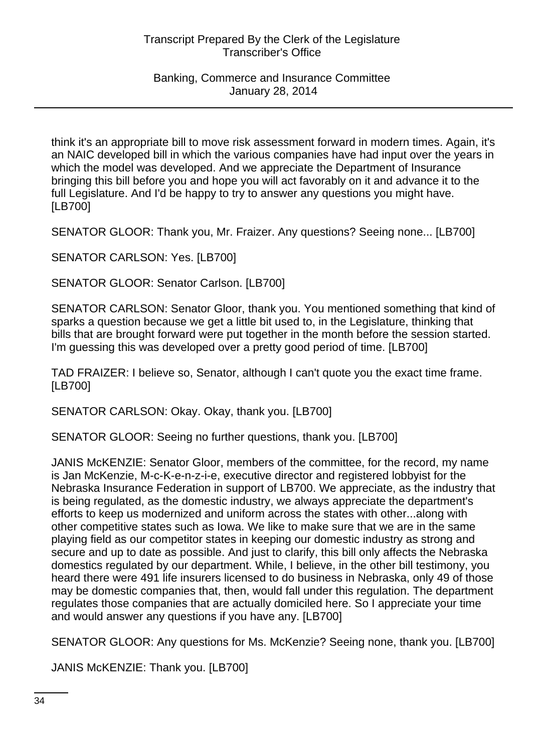think it's an appropriate bill to move risk assessment forward in modern times. Again, it's an NAIC developed bill in which the various companies have had input over the years in which the model was developed. And we appreciate the Department of Insurance bringing this bill before you and hope you will act favorably on it and advance it to the full Legislature. And I'd be happy to try to answer any questions you might have. [LB700]

SENATOR GLOOR: Thank you, Mr. Fraizer. Any questions? Seeing none... [LB700]

SENATOR CARLSON: Yes. [LB700]

SENATOR GLOOR: Senator Carlson. [LB700]

SENATOR CARLSON: Senator Gloor, thank you. You mentioned something that kind of sparks a question because we get a little bit used to, in the Legislature, thinking that bills that are brought forward were put together in the month before the session started. I'm guessing this was developed over a pretty good period of time. [LB700]

TAD FRAIZER: I believe so, Senator, although I can't quote you the exact time frame. [LB700]

SENATOR CARLSON: Okay. Okay, thank you. [LB700]

SENATOR GLOOR: Seeing no further questions, thank you. [LB700]

JANIS McKENZIE: Senator Gloor, members of the committee, for the record, my name is Jan McKenzie, M-c-K-e-n-z-i-e, executive director and registered lobbyist for the Nebraska Insurance Federation in support of LB700. We appreciate, as the industry that is being regulated, as the domestic industry, we always appreciate the department's efforts to keep us modernized and uniform across the states with other...along with other competitive states such as Iowa. We like to make sure that we are in the same playing field as our competitor states in keeping our domestic industry as strong and secure and up to date as possible. And just to clarify, this bill only affects the Nebraska domestics regulated by our department. While, I believe, in the other bill testimony, you heard there were 491 life insurers licensed to do business in Nebraska, only 49 of those may be domestic companies that, then, would fall under this regulation. The department regulates those companies that are actually domiciled here. So I appreciate your time and would answer any questions if you have any. [LB700]

SENATOR GLOOR: Any questions for Ms. McKenzie? Seeing none, thank you. [LB700]

JANIS McKENZIE: Thank you. [LB700]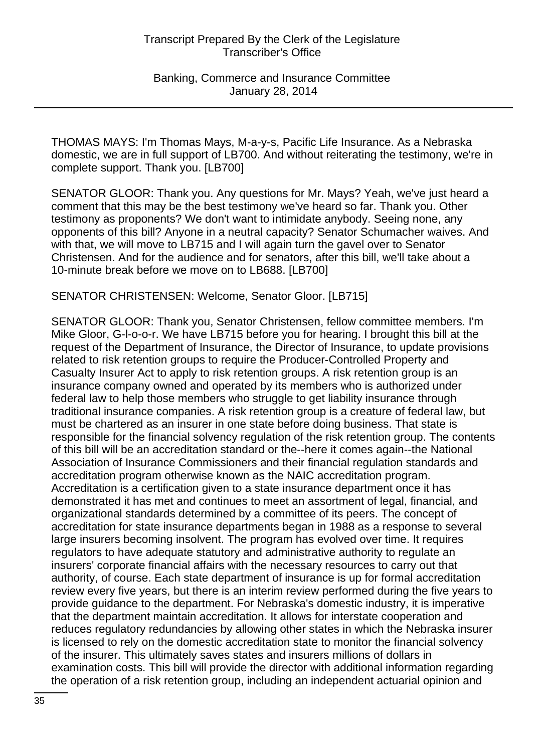THOMAS MAYS: I'm Thomas Mays, M-a-y-s, Pacific Life Insurance. As a Nebraska domestic, we are in full support of LB700. And without reiterating the testimony, we're in complete support. Thank you. [LB700]

SENATOR GLOOR: Thank you. Any questions for Mr. Mays? Yeah, we've just heard a comment that this may be the best testimony we've heard so far. Thank you. Other testimony as proponents? We don't want to intimidate anybody. Seeing none, any opponents of this bill? Anyone in a neutral capacity? Senator Schumacher waives. And with that, we will move to LB715 and I will again turn the gavel over to Senator Christensen. And for the audience and for senators, after this bill, we'll take about a 10-minute break before we move on to LB688. [LB700]

#### SENATOR CHRISTENSEN: Welcome, Senator Gloor. [LB715]

SENATOR GLOOR: Thank you, Senator Christensen, fellow committee members. I'm Mike Gloor, G-l-o-o-r. We have LB715 before you for hearing. I brought this bill at the request of the Department of Insurance, the Director of Insurance, to update provisions related to risk retention groups to require the Producer-Controlled Property and Casualty Insurer Act to apply to risk retention groups. A risk retention group is an insurance company owned and operated by its members who is authorized under federal law to help those members who struggle to get liability insurance through traditional insurance companies. A risk retention group is a creature of federal law, but must be chartered as an insurer in one state before doing business. That state is responsible for the financial solvency regulation of the risk retention group. The contents of this bill will be an accreditation standard or the--here it comes again--the National Association of Insurance Commissioners and their financial regulation standards and accreditation program otherwise known as the NAIC accreditation program. Accreditation is a certification given to a state insurance department once it has demonstrated it has met and continues to meet an assortment of legal, financial, and organizational standards determined by a committee of its peers. The concept of accreditation for state insurance departments began in 1988 as a response to several large insurers becoming insolvent. The program has evolved over time. It requires regulators to have adequate statutory and administrative authority to regulate an insurers' corporate financial affairs with the necessary resources to carry out that authority, of course. Each state department of insurance is up for formal accreditation review every five years, but there is an interim review performed during the five years to provide guidance to the department. For Nebraska's domestic industry, it is imperative that the department maintain accreditation. It allows for interstate cooperation and reduces regulatory redundancies by allowing other states in which the Nebraska insurer is licensed to rely on the domestic accreditation state to monitor the financial solvency of the insurer. This ultimately saves states and insurers millions of dollars in examination costs. This bill will provide the director with additional information regarding the operation of a risk retention group, including an independent actuarial opinion and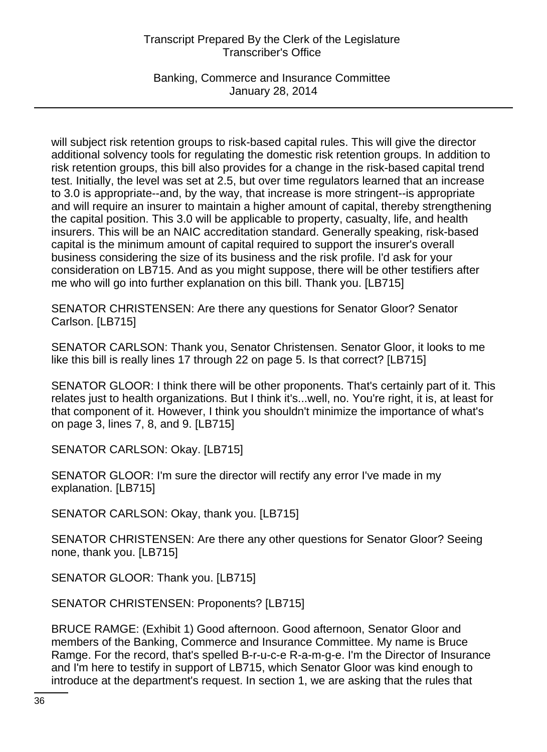Banking, Commerce and Insurance Committee January 28, 2014

will subject risk retention groups to risk-based capital rules. This will give the director additional solvency tools for regulating the domestic risk retention groups. In addition to risk retention groups, this bill also provides for a change in the risk-based capital trend test. Initially, the level was set at 2.5, but over time regulators learned that an increase to 3.0 is appropriate--and, by the way, that increase is more stringent--is appropriate and will require an insurer to maintain a higher amount of capital, thereby strengthening the capital position. This 3.0 will be applicable to property, casualty, life, and health insurers. This will be an NAIC accreditation standard. Generally speaking, risk-based capital is the minimum amount of capital required to support the insurer's overall business considering the size of its business and the risk profile. I'd ask for your consideration on LB715. And as you might suppose, there will be other testifiers after me who will go into further explanation on this bill. Thank you. [LB715]

SENATOR CHRISTENSEN: Are there any questions for Senator Gloor? Senator Carlson. [LB715]

SENATOR CARLSON: Thank you, Senator Christensen. Senator Gloor, it looks to me like this bill is really lines 17 through 22 on page 5. Is that correct? [LB715]

SENATOR GLOOR: I think there will be other proponents. That's certainly part of it. This relates just to health organizations. But I think it's...well, no. You're right, it is, at least for that component of it. However, I think you shouldn't minimize the importance of what's on page 3, lines 7, 8, and 9. [LB715]

SENATOR CARLSON: Okay. [LB715]

SENATOR GLOOR: I'm sure the director will rectify any error I've made in my explanation. [LB715]

SENATOR CARLSON: Okay, thank you. [LB715]

SENATOR CHRISTENSEN: Are there any other questions for Senator Gloor? Seeing none, thank you. [LB715]

SENATOR GLOOR: Thank you. [LB715]

SENATOR CHRISTENSEN: Proponents? [LB715]

BRUCE RAMGE: (Exhibit 1) Good afternoon. Good afternoon, Senator Gloor and members of the Banking, Commerce and Insurance Committee. My name is Bruce Ramge. For the record, that's spelled B-r-u-c-e R-a-m-g-e. I'm the Director of Insurance and I'm here to testify in support of LB715, which Senator Gloor was kind enough to introduce at the department's request. In section 1, we are asking that the rules that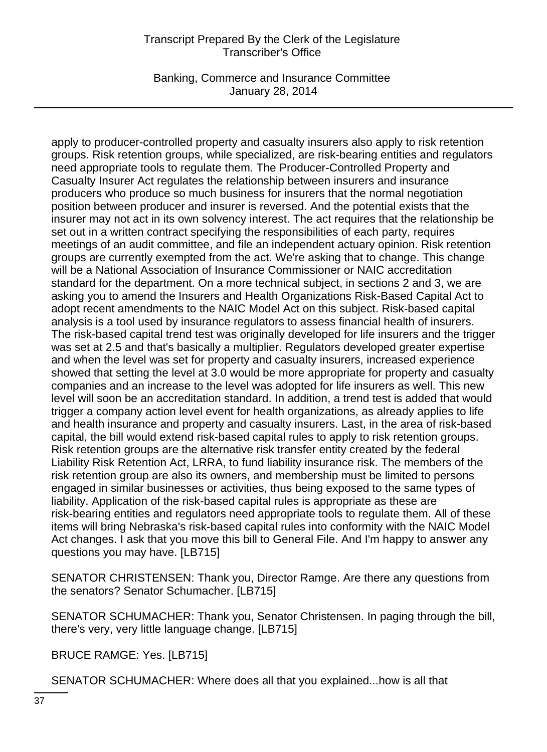Banking, Commerce and Insurance Committee January 28, 2014

apply to producer-controlled property and casualty insurers also apply to risk retention groups. Risk retention groups, while specialized, are risk-bearing entities and regulators need appropriate tools to regulate them. The Producer-Controlled Property and Casualty Insurer Act regulates the relationship between insurers and insurance producers who produce so much business for insurers that the normal negotiation position between producer and insurer is reversed. And the potential exists that the insurer may not act in its own solvency interest. The act requires that the relationship be set out in a written contract specifying the responsibilities of each party, requires meetings of an audit committee, and file an independent actuary opinion. Risk retention groups are currently exempted from the act. We're asking that to change. This change will be a National Association of Insurance Commissioner or NAIC accreditation standard for the department. On a more technical subject, in sections 2 and 3, we are asking you to amend the Insurers and Health Organizations Risk-Based Capital Act to adopt recent amendments to the NAIC Model Act on this subject. Risk-based capital analysis is a tool used by insurance regulators to assess financial health of insurers. The risk-based capital trend test was originally developed for life insurers and the trigger was set at 2.5 and that's basically a multiplier. Regulators developed greater expertise and when the level was set for property and casualty insurers, increased experience showed that setting the level at 3.0 would be more appropriate for property and casualty companies and an increase to the level was adopted for life insurers as well. This new level will soon be an accreditation standard. In addition, a trend test is added that would trigger a company action level event for health organizations, as already applies to life and health insurance and property and casualty insurers. Last, in the area of risk-based capital, the bill would extend risk-based capital rules to apply to risk retention groups. Risk retention groups are the alternative risk transfer entity created by the federal Liability Risk Retention Act, LRRA, to fund liability insurance risk. The members of the risk retention group are also its owners, and membership must be limited to persons engaged in similar businesses or activities, thus being exposed to the same types of liability. Application of the risk-based capital rules is appropriate as these are risk-bearing entities and regulators need appropriate tools to regulate them. All of these items will bring Nebraska's risk-based capital rules into conformity with the NAIC Model Act changes. I ask that you move this bill to General File. And I'm happy to answer any questions you may have. [LB715]

SENATOR CHRISTENSEN: Thank you, Director Ramge. Are there any questions from the senators? Senator Schumacher. [LB715]

SENATOR SCHUMACHER: Thank you, Senator Christensen. In paging through the bill, there's very, very little language change. [LB715]

BRUCE RAMGE: Yes. [LB715]

SENATOR SCHUMACHER: Where does all that you explained...how is all that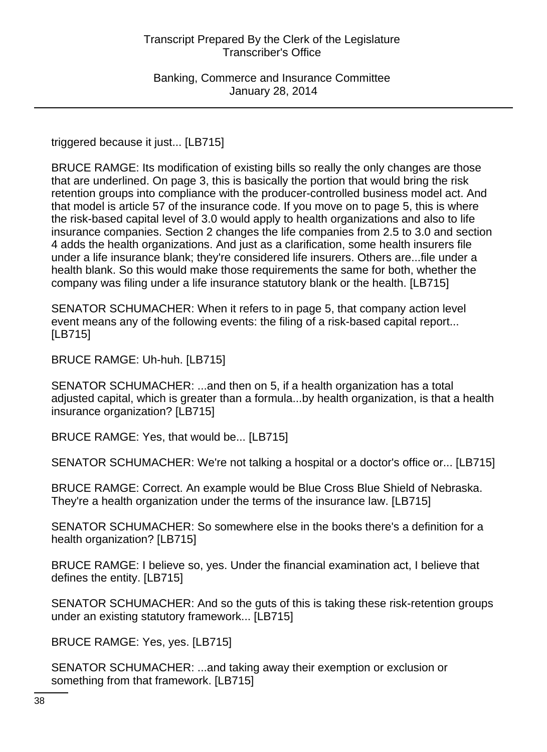triggered because it just... [LB715]

BRUCE RAMGE: Its modification of existing bills so really the only changes are those that are underlined. On page 3, this is basically the portion that would bring the risk retention groups into compliance with the producer-controlled business model act. And that model is article 57 of the insurance code. If you move on to page 5, this is where the risk-based capital level of 3.0 would apply to health organizations and also to life insurance companies. Section 2 changes the life companies from 2.5 to 3.0 and section 4 adds the health organizations. And just as a clarification, some health insurers file under a life insurance blank; they're considered life insurers. Others are...file under a health blank. So this would make those requirements the same for both, whether the company was filing under a life insurance statutory blank or the health. [LB715]

SENATOR SCHUMACHER: When it refers to in page 5, that company action level event means any of the following events: the filing of a risk-based capital report... [LB715]

BRUCE RAMGE: Uh-huh. [LB715]

SENATOR SCHUMACHER: ...and then on 5, if a health organization has a total adjusted capital, which is greater than a formula...by health organization, is that a health insurance organization? [LB715]

BRUCE RAMGE: Yes, that would be... [LB715]

SENATOR SCHUMACHER: We're not talking a hospital or a doctor's office or... [LB715]

BRUCE RAMGE: Correct. An example would be Blue Cross Blue Shield of Nebraska. They're a health organization under the terms of the insurance law. [LB715]

SENATOR SCHUMACHER: So somewhere else in the books there's a definition for a health organization? [LB715]

BRUCE RAMGE: I believe so, yes. Under the financial examination act, I believe that defines the entity. [LB715]

SENATOR SCHUMACHER: And so the guts of this is taking these risk-retention groups under an existing statutory framework... [LB715]

BRUCE RAMGE: Yes, yes. [LB715]

SENATOR SCHUMACHER: ...and taking away their exemption or exclusion or something from that framework. [LB715]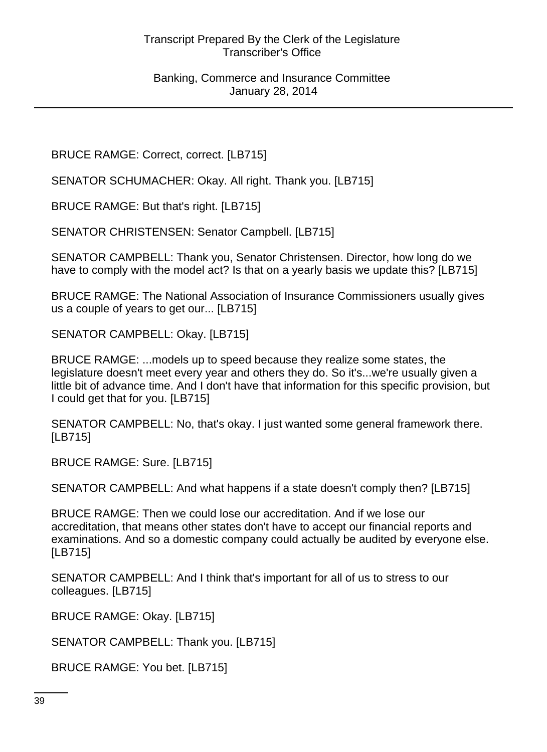BRUCE RAMGE: Correct, correct. [LB715]

SENATOR SCHUMACHER: Okay. All right. Thank you. [LB715]

BRUCE RAMGE: But that's right. [LB715]

SENATOR CHRISTENSEN: Senator Campbell. [LB715]

SENATOR CAMPBELL: Thank you, Senator Christensen. Director, how long do we have to comply with the model act? Is that on a yearly basis we update this? [LB715]

BRUCE RAMGE: The National Association of Insurance Commissioners usually gives us a couple of years to get our... [LB715]

SENATOR CAMPBELL: Okay. [LB715]

BRUCE RAMGE: ...models up to speed because they realize some states, the legislature doesn't meet every year and others they do. So it's...we're usually given a little bit of advance time. And I don't have that information for this specific provision, but I could get that for you. [LB715]

SENATOR CAMPBELL: No, that's okay. I just wanted some general framework there. [LB715]

BRUCE RAMGE: Sure. [LB715]

SENATOR CAMPBELL: And what happens if a state doesn't comply then? [LB715]

BRUCE RAMGE: Then we could lose our accreditation. And if we lose our accreditation, that means other states don't have to accept our financial reports and examinations. And so a domestic company could actually be audited by everyone else. [LB715]

SENATOR CAMPBELL: And I think that's important for all of us to stress to our colleagues. [LB715]

BRUCE RAMGE: Okay. [LB715]

SENATOR CAMPBELL: Thank you. [LB715]

BRUCE RAMGE: You bet. [LB715]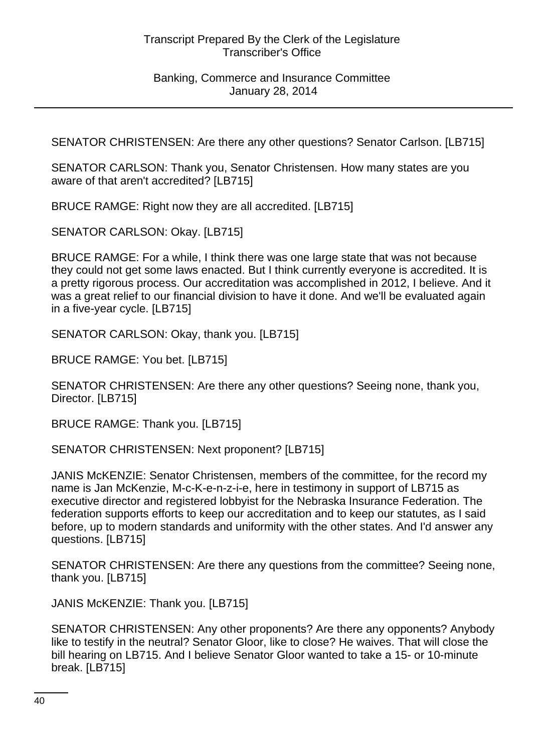SENATOR CHRISTENSEN: Are there any other questions? Senator Carlson. [LB715]

SENATOR CARLSON: Thank you, Senator Christensen. How many states are you aware of that aren't accredited? [LB715]

BRUCE RAMGE: Right now they are all accredited. [LB715]

SENATOR CARLSON: Okay. [LB715]

BRUCE RAMGE: For a while, I think there was one large state that was not because they could not get some laws enacted. But I think currently everyone is accredited. It is a pretty rigorous process. Our accreditation was accomplished in 2012, I believe. And it was a great relief to our financial division to have it done. And we'll be evaluated again in a five-year cycle. [LB715]

SENATOR CARLSON: Okay, thank you. [LB715]

BRUCE RAMGE: You bet. [LB715]

SENATOR CHRISTENSEN: Are there any other questions? Seeing none, thank you, Director. [LB715]

BRUCE RAMGE: Thank you. [LB715]

SENATOR CHRISTENSEN: Next proponent? [LB715]

JANIS McKENZIE: Senator Christensen, members of the committee, for the record my name is Jan McKenzie, M-c-K-e-n-z-i-e, here in testimony in support of LB715 as executive director and registered lobbyist for the Nebraska Insurance Federation. The federation supports efforts to keep our accreditation and to keep our statutes, as I said before, up to modern standards and uniformity with the other states. And I'd answer any questions. [LB715]

SENATOR CHRISTENSEN: Are there any questions from the committee? Seeing none, thank you. [LB715]

JANIS McKENZIE: Thank you. [LB715]

SENATOR CHRISTENSEN: Any other proponents? Are there any opponents? Anybody like to testify in the neutral? Senator Gloor, like to close? He waives. That will close the bill hearing on LB715. And I believe Senator Gloor wanted to take a 15- or 10-minute break. [LB715]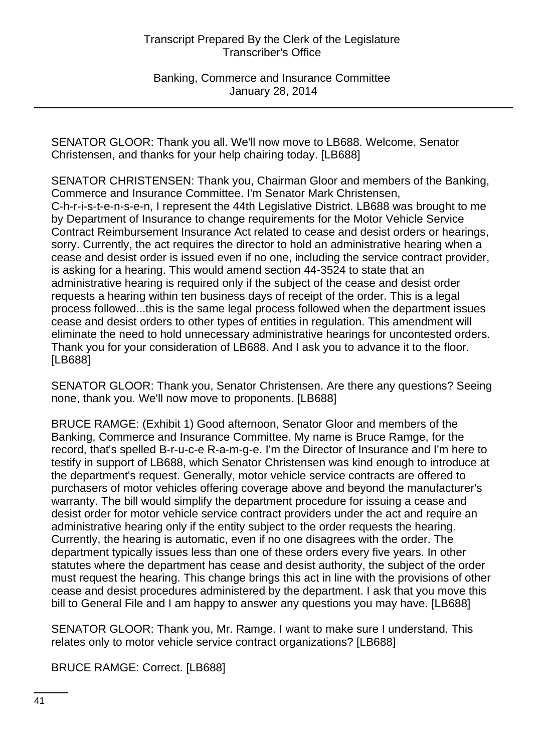Banking, Commerce and Insurance Committee January 28, 2014

SENATOR GLOOR: Thank you all. We'll now move to LB688. Welcome, Senator Christensen, and thanks for your help chairing today. [LB688]

SENATOR CHRISTENSEN: Thank you, Chairman Gloor and members of the Banking, Commerce and Insurance Committee. I'm Senator Mark Christensen, C-h-r-i-s-t-e-n-s-e-n, I represent the 44th Legislative District. LB688 was brought to me by Department of Insurance to change requirements for the Motor Vehicle Service Contract Reimbursement Insurance Act related to cease and desist orders or hearings, sorry. Currently, the act requires the director to hold an administrative hearing when a cease and desist order is issued even if no one, including the service contract provider, is asking for a hearing. This would amend section 44-3524 to state that an administrative hearing is required only if the subject of the cease and desist order requests a hearing within ten business days of receipt of the order. This is a legal process followed...this is the same legal process followed when the department issues cease and desist orders to other types of entities in regulation. This amendment will eliminate the need to hold unnecessary administrative hearings for uncontested orders. Thank you for your consideration of LB688. And I ask you to advance it to the floor. [LB688]

SENATOR GLOOR: Thank you, Senator Christensen. Are there any questions? Seeing none, thank you. We'll now move to proponents. [LB688]

BRUCE RAMGE: (Exhibit 1) Good afternoon, Senator Gloor and members of the Banking, Commerce and Insurance Committee. My name is Bruce Ramge, for the record, that's spelled B-r-u-c-e R-a-m-g-e. I'm the Director of Insurance and I'm here to testify in support of LB688, which Senator Christensen was kind enough to introduce at the department's request. Generally, motor vehicle service contracts are offered to purchasers of motor vehicles offering coverage above and beyond the manufacturer's warranty. The bill would simplify the department procedure for issuing a cease and desist order for motor vehicle service contract providers under the act and require an administrative hearing only if the entity subject to the order requests the hearing. Currently, the hearing is automatic, even if no one disagrees with the order. The department typically issues less than one of these orders every five years. In other statutes where the department has cease and desist authority, the subject of the order must request the hearing. This change brings this act in line with the provisions of other cease and desist procedures administered by the department. I ask that you move this bill to General File and I am happy to answer any questions you may have. [LB688]

SENATOR GLOOR: Thank you, Mr. Ramge. I want to make sure I understand. This relates only to motor vehicle service contract organizations? [LB688]

BRUCE RAMGE: Correct. [LB688]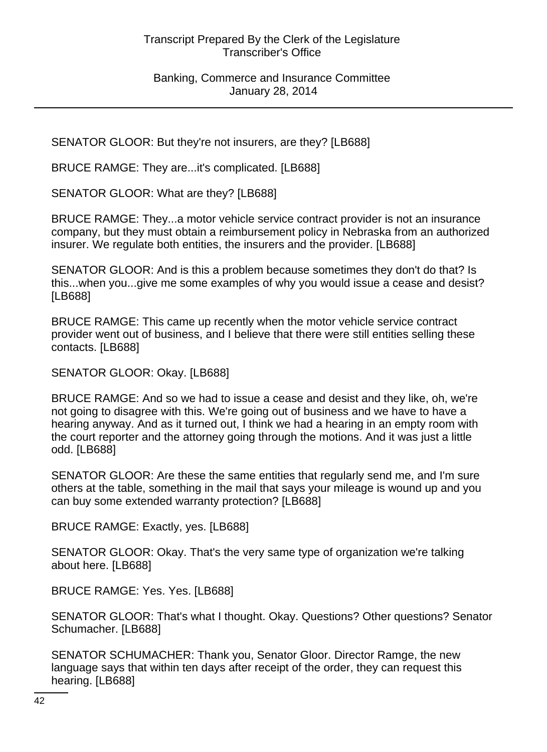SENATOR GLOOR: But they're not insurers, are they? [LB688]

BRUCE RAMGE: They are...it's complicated. [LB688]

SENATOR GLOOR: What are they? [LB688]

BRUCE RAMGE: They...a motor vehicle service contract provider is not an insurance company, but they must obtain a reimbursement policy in Nebraska from an authorized insurer. We regulate both entities, the insurers and the provider. [LB688]

SENATOR GLOOR: And is this a problem because sometimes they don't do that? Is this...when you...give me some examples of why you would issue a cease and desist? [LB688]

BRUCE RAMGE: This came up recently when the motor vehicle service contract provider went out of business, and I believe that there were still entities selling these contacts. [LB688]

SENATOR GLOOR: Okay. [LB688]

BRUCE RAMGE: And so we had to issue a cease and desist and they like, oh, we're not going to disagree with this. We're going out of business and we have to have a hearing anyway. And as it turned out, I think we had a hearing in an empty room with the court reporter and the attorney going through the motions. And it was just a little odd. [LB688]

SENATOR GLOOR: Are these the same entities that regularly send me, and I'm sure others at the table, something in the mail that says your mileage is wound up and you can buy some extended warranty protection? [LB688]

BRUCE RAMGE: Exactly, yes. [LB688]

SENATOR GLOOR: Okay. That's the very same type of organization we're talking about here. [LB688]

BRUCE RAMGE: Yes. Yes. [LB688]

SENATOR GLOOR: That's what I thought. Okay. Questions? Other questions? Senator Schumacher. [LB688]

SENATOR SCHUMACHER: Thank you, Senator Gloor. Director Ramge, the new language says that within ten days after receipt of the order, they can request this hearing. [LB688]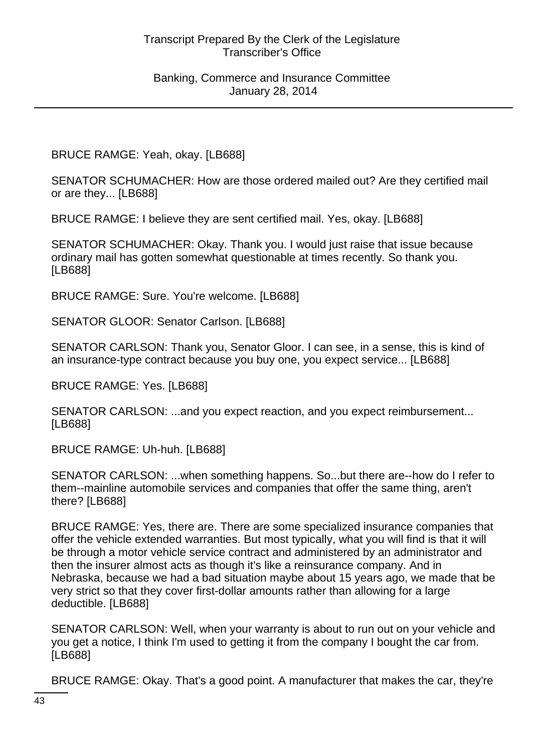BRUCE RAMGE: Yeah, okay. [LB688]

SENATOR SCHUMACHER: How are those ordered mailed out? Are they certified mail or are they... [LB688]

BRUCE RAMGE: I believe they are sent certified mail. Yes, okay. [LB688]

SENATOR SCHUMACHER: Okay. Thank you. I would just raise that issue because ordinary mail has gotten somewhat questionable at times recently. So thank you. [LB688]

BRUCE RAMGE: Sure. You're welcome. [LB688]

SENATOR GLOOR: Senator Carlson. [LB688]

SENATOR CARLSON: Thank you, Senator Gloor. I can see, in a sense, this is kind of an insurance-type contract because you buy one, you expect service... [LB688]

BRUCE RAMGE: Yes. [LB688]

SENATOR CARLSON: ...and you expect reaction, and you expect reimbursement... [LB688]

BRUCE RAMGE: Uh-huh. [LB688]

SENATOR CARLSON: ...when something happens. So...but there are--how do I refer to them--mainline automobile services and companies that offer the same thing, aren't there? [LB688]

BRUCE RAMGE: Yes, there are. There are some specialized insurance companies that offer the vehicle extended warranties. But most typically, what you will find is that it will be through a motor vehicle service contract and administered by an administrator and then the insurer almost acts as though it's like a reinsurance company. And in Nebraska, because we had a bad situation maybe about 15 years ago, we made that be very strict so that they cover first-dollar amounts rather than allowing for a large deductible. [LB688]

SENATOR CARLSON: Well, when your warranty is about to run out on your vehicle and you get a notice, I think I'm used to getting it from the company I bought the car from. [LB688]

BRUCE RAMGE: Okay. That's a good point. A manufacturer that makes the car, they're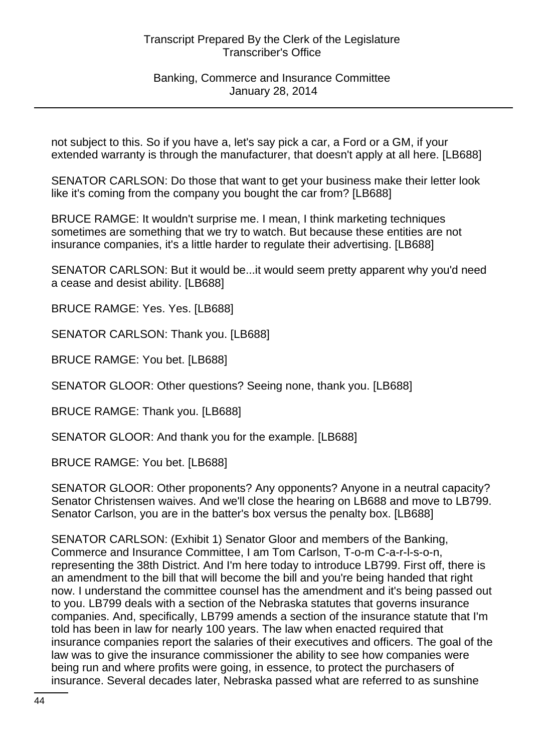Banking, Commerce and Insurance Committee January 28, 2014

not subject to this. So if you have a, let's say pick a car, a Ford or a GM, if your extended warranty is through the manufacturer, that doesn't apply at all here. [LB688]

SENATOR CARLSON: Do those that want to get your business make their letter look like it's coming from the company you bought the car from? [LB688]

BRUCE RAMGE: It wouldn't surprise me. I mean, I think marketing techniques sometimes are something that we try to watch. But because these entities are not insurance companies, it's a little harder to regulate their advertising. [LB688]

SENATOR CARLSON: But it would be...it would seem pretty apparent why you'd need a cease and desist ability. [LB688]

BRUCE RAMGE: Yes. Yes. [LB688]

SENATOR CARLSON: Thank you. [LB688]

BRUCE RAMGE: You bet. [LB688]

SENATOR GLOOR: Other questions? Seeing none, thank you. [LB688]

BRUCE RAMGE: Thank you. [LB688]

SENATOR GLOOR: And thank you for the example. [LB688]

BRUCE RAMGE: You bet. [LB688]

SENATOR GLOOR: Other proponents? Any opponents? Anyone in a neutral capacity? Senator Christensen waives. And we'll close the hearing on LB688 and move to LB799. Senator Carlson, you are in the batter's box versus the penalty box. [LB688]

SENATOR CARLSON: (Exhibit 1) Senator Gloor and members of the Banking, Commerce and Insurance Committee, I am Tom Carlson, T-o-m C-a-r-l-s-o-n, representing the 38th District. And I'm here today to introduce LB799. First off, there is an amendment to the bill that will become the bill and you're being handed that right now. I understand the committee counsel has the amendment and it's being passed out to you. LB799 deals with a section of the Nebraska statutes that governs insurance companies. And, specifically, LB799 amends a section of the insurance statute that I'm told has been in law for nearly 100 years. The law when enacted required that insurance companies report the salaries of their executives and officers. The goal of the law was to give the insurance commissioner the ability to see how companies were being run and where profits were going, in essence, to protect the purchasers of insurance. Several decades later, Nebraska passed what are referred to as sunshine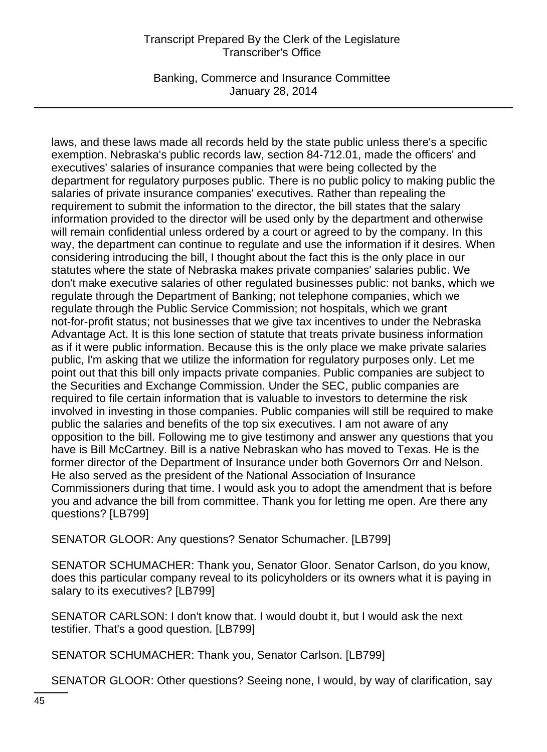Banking, Commerce and Insurance Committee January 28, 2014

laws, and these laws made all records held by the state public unless there's a specific exemption. Nebraska's public records law, section 84-712.01, made the officers' and executives' salaries of insurance companies that were being collected by the department for regulatory purposes public. There is no public policy to making public the salaries of private insurance companies' executives. Rather than repealing the requirement to submit the information to the director, the bill states that the salary information provided to the director will be used only by the department and otherwise will remain confidential unless ordered by a court or agreed to by the company. In this way, the department can continue to regulate and use the information if it desires. When considering introducing the bill, I thought about the fact this is the only place in our statutes where the state of Nebraska makes private companies' salaries public. We don't make executive salaries of other regulated businesses public: not banks, which we regulate through the Department of Banking; not telephone companies, which we regulate through the Public Service Commission; not hospitals, which we grant not-for-profit status; not businesses that we give tax incentives to under the Nebraska Advantage Act. It is this lone section of statute that treats private business information as if it were public information. Because this is the only place we make private salaries public, I'm asking that we utilize the information for regulatory purposes only. Let me point out that this bill only impacts private companies. Public companies are subject to the Securities and Exchange Commission. Under the SEC, public companies are required to file certain information that is valuable to investors to determine the risk involved in investing in those companies. Public companies will still be required to make public the salaries and benefits of the top six executives. I am not aware of any opposition to the bill. Following me to give testimony and answer any questions that you have is Bill McCartney. Bill is a native Nebraskan who has moved to Texas. He is the former director of the Department of Insurance under both Governors Orr and Nelson. He also served as the president of the National Association of Insurance Commissioners during that time. I would ask you to adopt the amendment that is before you and advance the bill from committee. Thank you for letting me open. Are there any questions? [LB799]

SENATOR GLOOR: Any questions? Senator Schumacher. [LB799]

SENATOR SCHUMACHER: Thank you, Senator Gloor. Senator Carlson, do you know, does this particular company reveal to its policyholders or its owners what it is paying in salary to its executives? [LB799]

SENATOR CARLSON: I don't know that. I would doubt it, but I would ask the next testifier. That's a good question. [LB799]

SENATOR SCHUMACHER: Thank you, Senator Carlson. [LB799]

SENATOR GLOOR: Other questions? Seeing none, I would, by way of clarification, say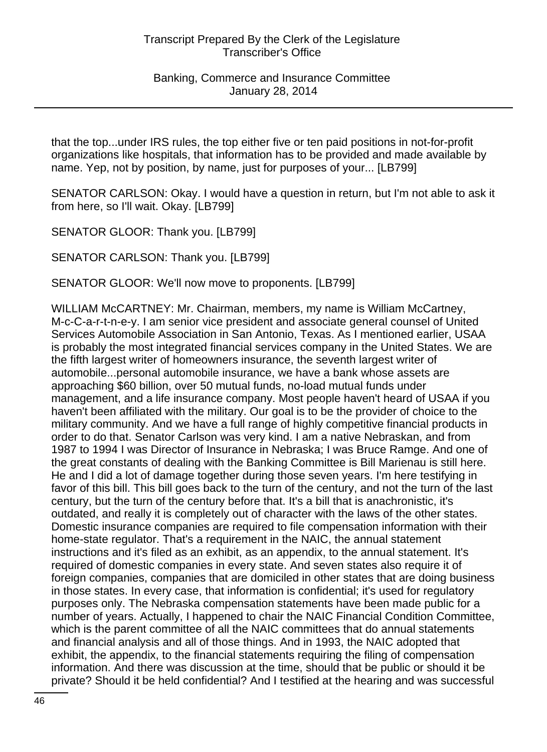Banking, Commerce and Insurance Committee January 28, 2014

that the top...under IRS rules, the top either five or ten paid positions in not-for-profit organizations like hospitals, that information has to be provided and made available by name. Yep, not by position, by name, just for purposes of your... [LB799]

SENATOR CARLSON: Okay. I would have a question in return, but I'm not able to ask it from here, so I'll wait. Okay. [LB799]

SENATOR GLOOR: Thank you. [LB799]

SENATOR CARLSON: Thank you. [LB799]

SENATOR GLOOR: We'll now move to proponents. [LB799]

WILLIAM McCARTNEY: Mr. Chairman, members, my name is William McCartney, M-c-C-a-r-t-n-e-y. I am senior vice president and associate general counsel of United Services Automobile Association in San Antonio, Texas. As I mentioned earlier, USAA is probably the most integrated financial services company in the United States. We are the fifth largest writer of homeowners insurance, the seventh largest writer of automobile...personal automobile insurance, we have a bank whose assets are approaching \$60 billion, over 50 mutual funds, no-load mutual funds under management, and a life insurance company. Most people haven't heard of USAA if you haven't been affiliated with the military. Our goal is to be the provider of choice to the military community. And we have a full range of highly competitive financial products in order to do that. Senator Carlson was very kind. I am a native Nebraskan, and from 1987 to 1994 I was Director of Insurance in Nebraska; I was Bruce Ramge. And one of the great constants of dealing with the Banking Committee is Bill Marienau is still here. He and I did a lot of damage together during those seven years. I'm here testifying in favor of this bill. This bill goes back to the turn of the century, and not the turn of the last century, but the turn of the century before that. It's a bill that is anachronistic, it's outdated, and really it is completely out of character with the laws of the other states. Domestic insurance companies are required to file compensation information with their home-state regulator. That's a requirement in the NAIC, the annual statement instructions and it's filed as an exhibit, as an appendix, to the annual statement. It's required of domestic companies in every state. And seven states also require it of foreign companies, companies that are domiciled in other states that are doing business in those states. In every case, that information is confidential; it's used for regulatory purposes only. The Nebraska compensation statements have been made public for a number of years. Actually, I happened to chair the NAIC Financial Condition Committee, which is the parent committee of all the NAIC committees that do annual statements and financial analysis and all of those things. And in 1993, the NAIC adopted that exhibit, the appendix, to the financial statements requiring the filing of compensation information. And there was discussion at the time, should that be public or should it be private? Should it be held confidential? And I testified at the hearing and was successful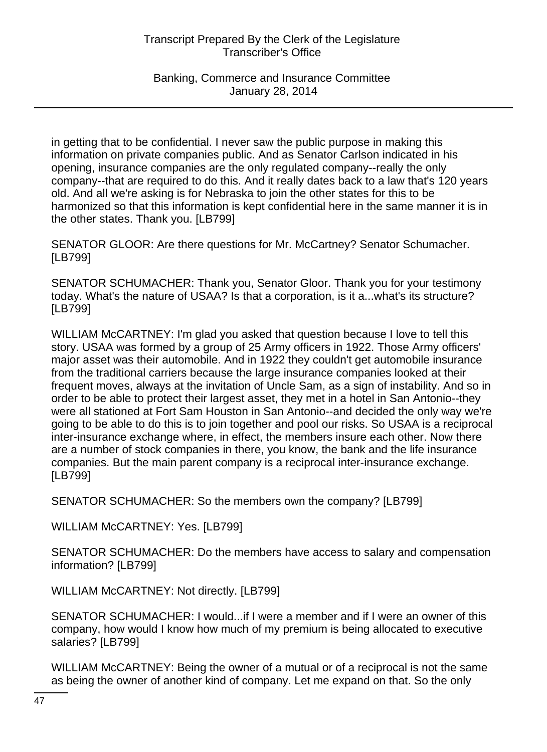Banking, Commerce and Insurance Committee January 28, 2014

in getting that to be confidential. I never saw the public purpose in making this information on private companies public. And as Senator Carlson indicated in his opening, insurance companies are the only regulated company--really the only company--that are required to do this. And it really dates back to a law that's 120 years old. And all we're asking is for Nebraska to join the other states for this to be harmonized so that this information is kept confidential here in the same manner it is in the other states. Thank you. [LB799]

SENATOR GLOOR: Are there questions for Mr. McCartney? Senator Schumacher. [LB799]

SENATOR SCHUMACHER: Thank you, Senator Gloor. Thank you for your testimony today. What's the nature of USAA? Is that a corporation, is it a...what's its structure? [LB799]

WILLIAM McCARTNEY: I'm glad you asked that question because I love to tell this story. USAA was formed by a group of 25 Army officers in 1922. Those Army officers' major asset was their automobile. And in 1922 they couldn't get automobile insurance from the traditional carriers because the large insurance companies looked at their frequent moves, always at the invitation of Uncle Sam, as a sign of instability. And so in order to be able to protect their largest asset, they met in a hotel in San Antonio--they were all stationed at Fort Sam Houston in San Antonio--and decided the only way we're going to be able to do this is to join together and pool our risks. So USAA is a reciprocal inter-insurance exchange where, in effect, the members insure each other. Now there are a number of stock companies in there, you know, the bank and the life insurance companies. But the main parent company is a reciprocal inter-insurance exchange. [LB799]

SENATOR SCHUMACHER: So the members own the company? [LB799]

WILLIAM McCARTNEY: Yes. [LB799]

SENATOR SCHUMACHER: Do the members have access to salary and compensation information? [LB799]

WILLIAM McCARTNEY: Not directly. [LB799]

SENATOR SCHUMACHER: I would...if I were a member and if I were an owner of this company, how would I know how much of my premium is being allocated to executive salaries? [LB799]

WILLIAM McCARTNEY: Being the owner of a mutual or of a reciprocal is not the same as being the owner of another kind of company. Let me expand on that. So the only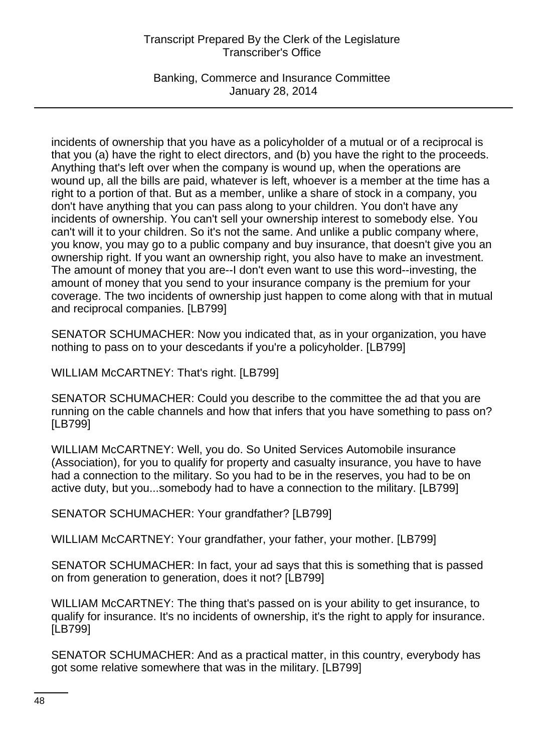Banking, Commerce and Insurance Committee January 28, 2014

incidents of ownership that you have as a policyholder of a mutual or of a reciprocal is that you (a) have the right to elect directors, and (b) you have the right to the proceeds. Anything that's left over when the company is wound up, when the operations are wound up, all the bills are paid, whatever is left, whoever is a member at the time has a right to a portion of that. But as a member, unlike a share of stock in a company, you don't have anything that you can pass along to your children. You don't have any incidents of ownership. You can't sell your ownership interest to somebody else. You can't will it to your children. So it's not the same. And unlike a public company where, you know, you may go to a public company and buy insurance, that doesn't give you an ownership right. If you want an ownership right, you also have to make an investment. The amount of money that you are--I don't even want to use this word--investing, the amount of money that you send to your insurance company is the premium for your coverage. The two incidents of ownership just happen to come along with that in mutual and reciprocal companies. [LB799]

SENATOR SCHUMACHER: Now you indicated that, as in your organization, you have nothing to pass on to your descedants if you're a policyholder. [LB799]

WILLIAM McCARTNEY: That's right. [LB799]

SENATOR SCHUMACHER: Could you describe to the committee the ad that you are running on the cable channels and how that infers that you have something to pass on? [LB799]

WILLIAM McCARTNEY: Well, you do. So United Services Automobile insurance (Association), for you to qualify for property and casualty insurance, you have to have had a connection to the military. So you had to be in the reserves, you had to be on active duty, but you...somebody had to have a connection to the military. [LB799]

SENATOR SCHUMACHER: Your grandfather? [LB799]

WILLIAM McCARTNEY: Your grandfather, your father, your mother. [LB799]

SENATOR SCHUMACHER: In fact, your ad says that this is something that is passed on from generation to generation, does it not? [LB799]

WILLIAM McCARTNEY: The thing that's passed on is your ability to get insurance, to qualify for insurance. It's no incidents of ownership, it's the right to apply for insurance. [LB799]

SENATOR SCHUMACHER: And as a practical matter, in this country, everybody has got some relative somewhere that was in the military. [LB799]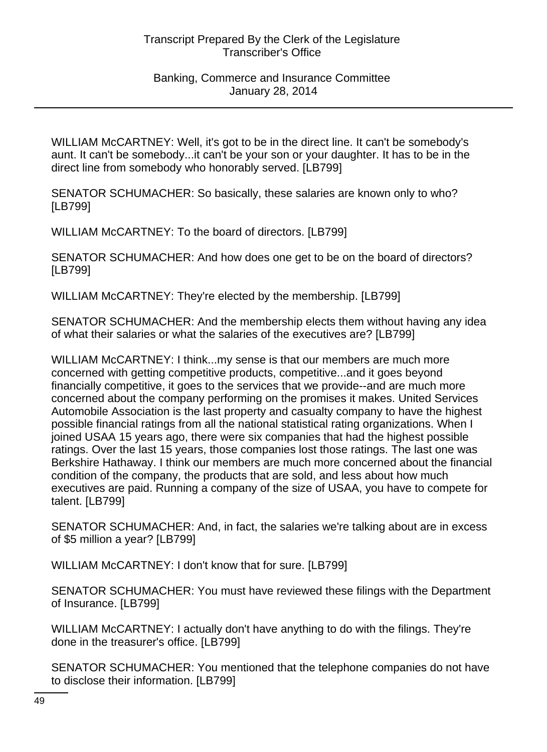### Banking, Commerce and Insurance Committee January 28, 2014

WILLIAM McCARTNEY: Well, it's got to be in the direct line. It can't be somebody's aunt. It can't be somebody...it can't be your son or your daughter. It has to be in the direct line from somebody who honorably served. [LB799]

SENATOR SCHUMACHER: So basically, these salaries are known only to who? [LB799]

WILLIAM McCARTNEY: To the board of directors. [LB799]

SENATOR SCHUMACHER: And how does one get to be on the board of directors? [LB799]

WILLIAM McCARTNEY: They're elected by the membership. [LB799]

SENATOR SCHUMACHER: And the membership elects them without having any idea of what their salaries or what the salaries of the executives are? [LB799]

WILLIAM McCARTNEY: I think...my sense is that our members are much more concerned with getting competitive products, competitive...and it goes beyond financially competitive, it goes to the services that we provide--and are much more concerned about the company performing on the promises it makes. United Services Automobile Association is the last property and casualty company to have the highest possible financial ratings from all the national statistical rating organizations. When I joined USAA 15 years ago, there were six companies that had the highest possible ratings. Over the last 15 years, those companies lost those ratings. The last one was Berkshire Hathaway. I think our members are much more concerned about the financial condition of the company, the products that are sold, and less about how much executives are paid. Running a company of the size of USAA, you have to compete for talent. [LB799]

SENATOR SCHUMACHER: And, in fact, the salaries we're talking about are in excess of \$5 million a year? [LB799]

WILLIAM McCARTNEY: I don't know that for sure. [LB799]

SENATOR SCHUMACHER: You must have reviewed these filings with the Department of Insurance. [LB799]

WILLIAM McCARTNEY: I actually don't have anything to do with the filings. They're done in the treasurer's office. [LB799]

SENATOR SCHUMACHER: You mentioned that the telephone companies do not have to disclose their information. [LB799]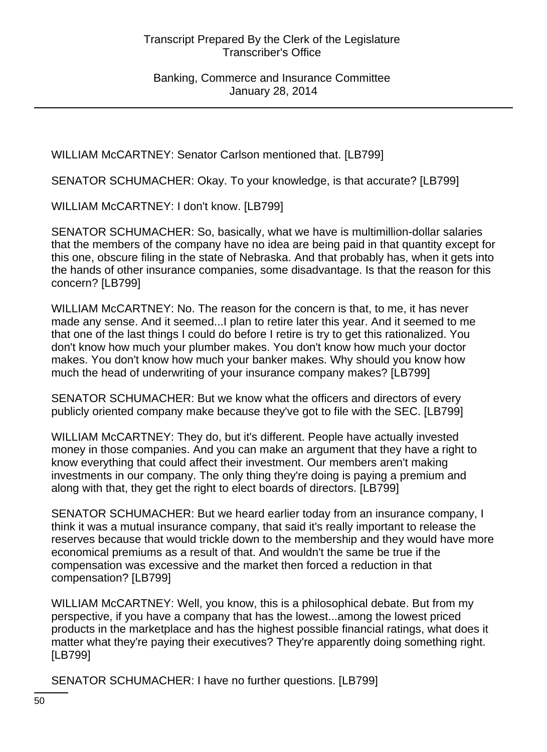WILLIAM McCARTNEY: Senator Carlson mentioned that. [LB799]

SENATOR SCHUMACHER: Okay. To your knowledge, is that accurate? [LB799]

WILLIAM McCARTNEY: I don't know. [LB799]

SENATOR SCHUMACHER: So, basically, what we have is multimillion-dollar salaries that the members of the company have no idea are being paid in that quantity except for this one, obscure filing in the state of Nebraska. And that probably has, when it gets into the hands of other insurance companies, some disadvantage. Is that the reason for this concern? [LB799]

WILLIAM McCARTNEY: No. The reason for the concern is that, to me, it has never made any sense. And it seemed...I plan to retire later this year. And it seemed to me that one of the last things I could do before I retire is try to get this rationalized. You don't know how much your plumber makes. You don't know how much your doctor makes. You don't know how much your banker makes. Why should you know how much the head of underwriting of your insurance company makes? [LB799]

SENATOR SCHUMACHER: But we know what the officers and directors of every publicly oriented company make because they've got to file with the SEC. [LB799]

WILLIAM McCARTNEY: They do, but it's different. People have actually invested money in those companies. And you can make an argument that they have a right to know everything that could affect their investment. Our members aren't making investments in our company. The only thing they're doing is paying a premium and along with that, they get the right to elect boards of directors. [LB799]

SENATOR SCHUMACHER: But we heard earlier today from an insurance company, I think it was a mutual insurance company, that said it's really important to release the reserves because that would trickle down to the membership and they would have more economical premiums as a result of that. And wouldn't the same be true if the compensation was excessive and the market then forced a reduction in that compensation? [LB799]

WILLIAM McCARTNEY: Well, you know, this is a philosophical debate. But from my perspective, if you have a company that has the lowest...among the lowest priced products in the marketplace and has the highest possible financial ratings, what does it matter what they're paying their executives? They're apparently doing something right. [LB799]

SENATOR SCHUMACHER: I have no further questions. [LB799]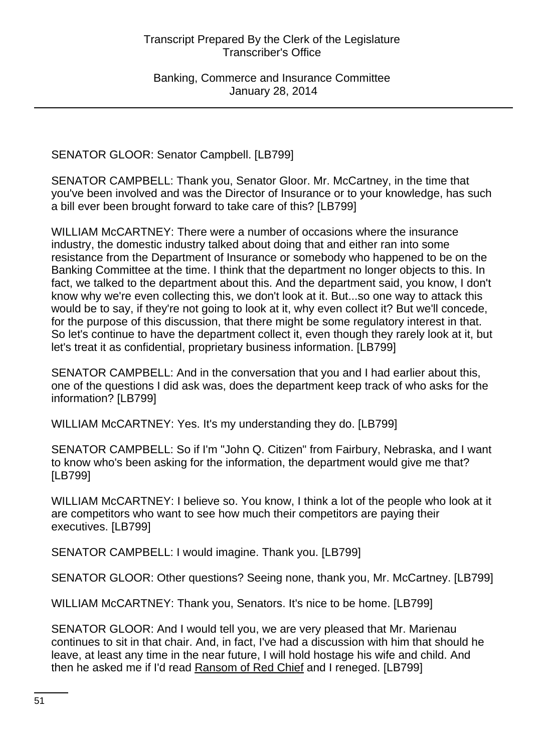SENATOR GLOOR: Senator Campbell. [LB799]

SENATOR CAMPBELL: Thank you, Senator Gloor. Mr. McCartney, in the time that you've been involved and was the Director of Insurance or to your knowledge, has such a bill ever been brought forward to take care of this? [LB799]

WILLIAM McCARTNEY: There were a number of occasions where the insurance industry, the domestic industry talked about doing that and either ran into some resistance from the Department of Insurance or somebody who happened to be on the Banking Committee at the time. I think that the department no longer objects to this. In fact, we talked to the department about this. And the department said, you know, I don't know why we're even collecting this, we don't look at it. But...so one way to attack this would be to say, if they're not going to look at it, why even collect it? But we'll concede, for the purpose of this discussion, that there might be some regulatory interest in that. So let's continue to have the department collect it, even though they rarely look at it, but let's treat it as confidential, proprietary business information. [LB799]

SENATOR CAMPBELL: And in the conversation that you and I had earlier about this, one of the questions I did ask was, does the department keep track of who asks for the information? [LB799]

WILLIAM McCARTNEY: Yes. It's my understanding they do. [LB799]

SENATOR CAMPBELL: So if I'm "John Q. Citizen" from Fairbury, Nebraska, and I want to know who's been asking for the information, the department would give me that? [LB799]

WILLIAM McCARTNEY: I believe so. You know, I think a lot of the people who look at it are competitors who want to see how much their competitors are paying their executives. [LB799]

SENATOR CAMPBELL: I would imagine. Thank you. [LB799]

SENATOR GLOOR: Other questions? Seeing none, thank you, Mr. McCartney. [LB799]

WILLIAM McCARTNEY: Thank you, Senators. It's nice to be home. [LB799]

SENATOR GLOOR: And I would tell you, we are very pleased that Mr. Marienau continues to sit in that chair. And, in fact, I've had a discussion with him that should he leave, at least any time in the near future, I will hold hostage his wife and child. And then he asked me if I'd read Ransom of Red Chief and I reneged. [LB799]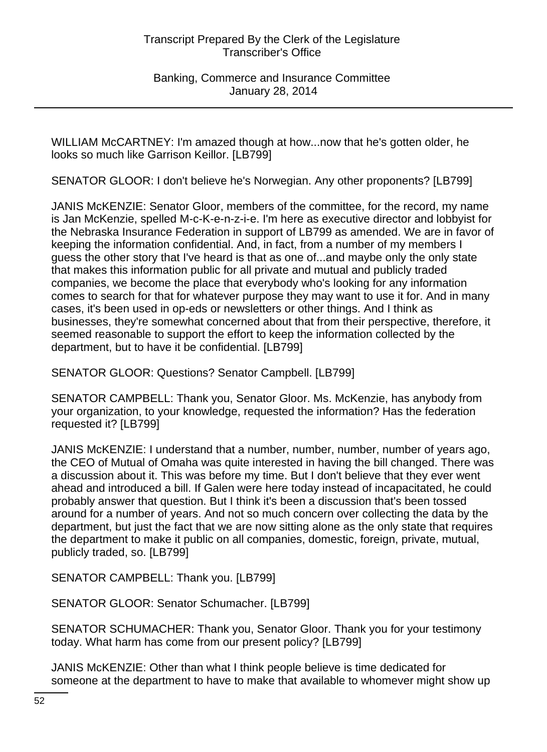Banking, Commerce and Insurance Committee January 28, 2014

WILLIAM McCARTNEY: I'm amazed though at how...now that he's gotten older, he looks so much like Garrison Keillor. [LB799]

SENATOR GLOOR: I don't believe he's Norwegian. Any other proponents? [LB799]

JANIS McKENZIE: Senator Gloor, members of the committee, for the record, my name is Jan McKenzie, spelled M-c-K-e-n-z-i-e. I'm here as executive director and lobbyist for the Nebraska Insurance Federation in support of LB799 as amended. We are in favor of keeping the information confidential. And, in fact, from a number of my members I guess the other story that I've heard is that as one of...and maybe only the only state that makes this information public for all private and mutual and publicly traded companies, we become the place that everybody who's looking for any information comes to search for that for whatever purpose they may want to use it for. And in many cases, it's been used in op-eds or newsletters or other things. And I think as businesses, they're somewhat concerned about that from their perspective, therefore, it seemed reasonable to support the effort to keep the information collected by the department, but to have it be confidential. [LB799]

SENATOR GLOOR: Questions? Senator Campbell. [LB799]

SENATOR CAMPBELL: Thank you, Senator Gloor. Ms. McKenzie, has anybody from your organization, to your knowledge, requested the information? Has the federation requested it? [LB799]

JANIS McKENZIE: I understand that a number, number, number, number of years ago, the CEO of Mutual of Omaha was quite interested in having the bill changed. There was a discussion about it. This was before my time. But I don't believe that they ever went ahead and introduced a bill. If Galen were here today instead of incapacitated, he could probably answer that question. But I think it's been a discussion that's been tossed around for a number of years. And not so much concern over collecting the data by the department, but just the fact that we are now sitting alone as the only state that requires the department to make it public on all companies, domestic, foreign, private, mutual, publicly traded, so. [LB799]

SENATOR CAMPBELL: Thank you. [LB799]

SENATOR GLOOR: Senator Schumacher. [LB799]

SENATOR SCHUMACHER: Thank you, Senator Gloor. Thank you for your testimony today. What harm has come from our present policy? [LB799]

JANIS McKENZIE: Other than what I think people believe is time dedicated for someone at the department to have to make that available to whomever might show up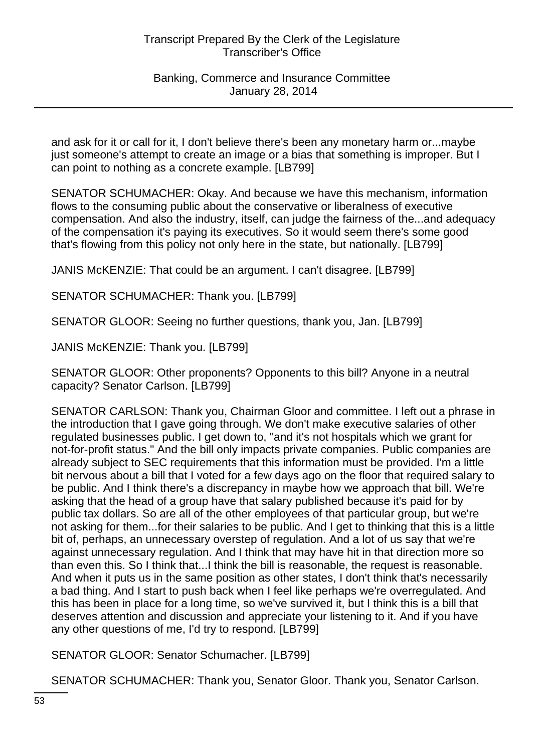Banking, Commerce and Insurance Committee January 28, 2014

and ask for it or call for it, I don't believe there's been any monetary harm or...maybe just someone's attempt to create an image or a bias that something is improper. But I can point to nothing as a concrete example. [LB799]

SENATOR SCHUMACHER: Okay. And because we have this mechanism, information flows to the consuming public about the conservative or liberalness of executive compensation. And also the industry, itself, can judge the fairness of the...and adequacy of the compensation it's paying its executives. So it would seem there's some good that's flowing from this policy not only here in the state, but nationally. [LB799]

JANIS McKENZIE: That could be an argument. I can't disagree. [LB799]

SENATOR SCHUMACHER: Thank you. [LB799]

SENATOR GLOOR: Seeing no further questions, thank you, Jan. [LB799]

JANIS McKENZIE: Thank you. [LB799]

SENATOR GLOOR: Other proponents? Opponents to this bill? Anyone in a neutral capacity? Senator Carlson. [LB799]

SENATOR CARLSON: Thank you, Chairman Gloor and committee. I left out a phrase in the introduction that I gave going through. We don't make executive salaries of other regulated businesses public. I get down to, "and it's not hospitals which we grant for not-for-profit status." And the bill only impacts private companies. Public companies are already subject to SEC requirements that this information must be provided. I'm a little bit nervous about a bill that I voted for a few days ago on the floor that required salary to be public. And I think there's a discrepancy in maybe how we approach that bill. We're asking that the head of a group have that salary published because it's paid for by public tax dollars. So are all of the other employees of that particular group, but we're not asking for them...for their salaries to be public. And I get to thinking that this is a little bit of, perhaps, an unnecessary overstep of regulation. And a lot of us say that we're against unnecessary regulation. And I think that may have hit in that direction more so than even this. So I think that...I think the bill is reasonable, the request is reasonable. And when it puts us in the same position as other states, I don't think that's necessarily a bad thing. And I start to push back when I feel like perhaps we're overregulated. And this has been in place for a long time, so we've survived it, but I think this is a bill that deserves attention and discussion and appreciate your listening to it. And if you have any other questions of me, I'd try to respond. [LB799]

SENATOR GLOOR: Senator Schumacher. [LB799]

SENATOR SCHUMACHER: Thank you, Senator Gloor. Thank you, Senator Carlson.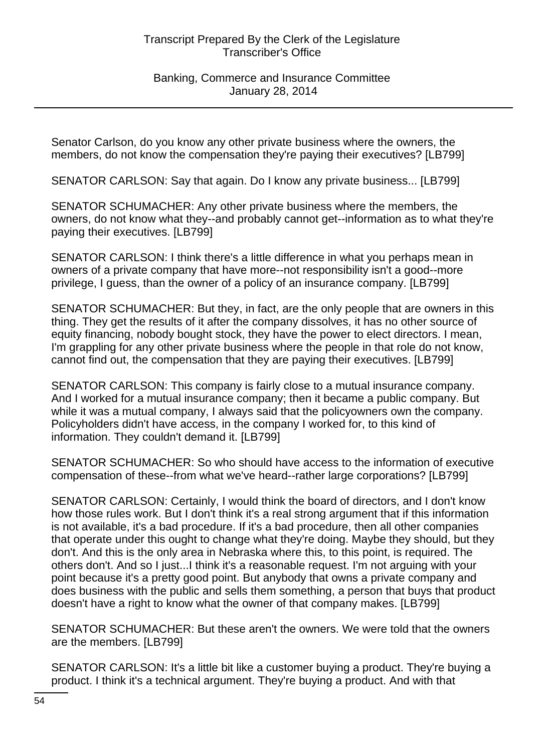Banking, Commerce and Insurance Committee January 28, 2014

Senator Carlson, do you know any other private business where the owners, the members, do not know the compensation they're paying their executives? [LB799]

SENATOR CARLSON: Say that again. Do I know any private business... [LB799]

SENATOR SCHUMACHER: Any other private business where the members, the owners, do not know what they--and probably cannot get--information as to what they're paying their executives. [LB799]

SENATOR CARLSON: I think there's a little difference in what you perhaps mean in owners of a private company that have more--not responsibility isn't a good--more privilege, I guess, than the owner of a policy of an insurance company. [LB799]

SENATOR SCHUMACHER: But they, in fact, are the only people that are owners in this thing. They get the results of it after the company dissolves, it has no other source of equity financing, nobody bought stock, they have the power to elect directors. I mean, I'm grappling for any other private business where the people in that role do not know, cannot find out, the compensation that they are paying their executives. [LB799]

SENATOR CARLSON: This company is fairly close to a mutual insurance company. And I worked for a mutual insurance company; then it became a public company. But while it was a mutual company, I always said that the policyowners own the company. Policyholders didn't have access, in the company I worked for, to this kind of information. They couldn't demand it. [LB799]

SENATOR SCHUMACHER: So who should have access to the information of executive compensation of these--from what we've heard--rather large corporations? [LB799]

SENATOR CARLSON: Certainly, I would think the board of directors, and I don't know how those rules work. But I don't think it's a real strong argument that if this information is not available, it's a bad procedure. If it's a bad procedure, then all other companies that operate under this ought to change what they're doing. Maybe they should, but they don't. And this is the only area in Nebraska where this, to this point, is required. The others don't. And so I just...I think it's a reasonable request. I'm not arguing with your point because it's a pretty good point. But anybody that owns a private company and does business with the public and sells them something, a person that buys that product doesn't have a right to know what the owner of that company makes. [LB799]

SENATOR SCHUMACHER: But these aren't the owners. We were told that the owners are the members. [LB799]

SENATOR CARLSON: It's a little bit like a customer buying a product. They're buying a product. I think it's a technical argument. They're buying a product. And with that